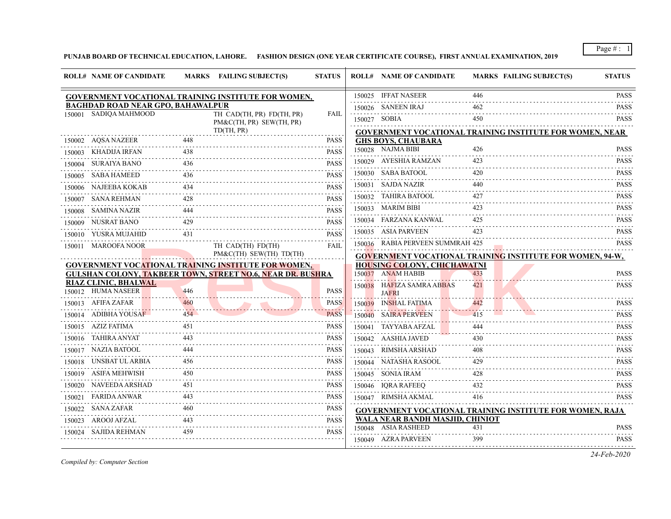**PUNJAB BOARD OF TECHNICAL EDUCATION, LAHORE. FASHION DESIGN (ONE YEAR CERTIFICATE COURSE), FIRST ANNUAL EXAMINATION, 2019**

| <b>ROLL# NAME OF CANDIDATE</b>                                                                                           |          | MARKS FAILING SUBJECT(S)                              | <b>STATUS</b>    |        | <b>ROLL# NAME OF CANDIDATE</b>                          | <b>MARKS FAILING SUBJECT(S)</b>                                  | <b>STATUS</b>    |
|--------------------------------------------------------------------------------------------------------------------------|----------|-------------------------------------------------------|------------------|--------|---------------------------------------------------------|------------------------------------------------------------------|------------------|
| GOVERNMENT VOCATIONAL TRAINING INSTITUTE FOR WOMEN,                                                                      |          |                                                       |                  |        | 150025 IFFAT NASEER                                     | 446                                                              | <b>PASS</b>      |
| <b>BAGHDAD ROAD NEAR GPO, BAHAWALPUR</b>                                                                                 |          |                                                       |                  |        | 150026 SANEEN IRAJ                                      | 462                                                              | .<br><b>PASS</b> |
| 150001 SADIQA MAHMOOD                                                                                                    |          | TH CAD(TH, PR) FD(TH, PR)<br>PM&C(TH, PR) SEW(TH, PR) | <b>FAIL</b>      |        | 150027 SOBIA                                            | 450                                                              | .<br><b>PASS</b> |
|                                                                                                                          |          | TD(TH, PR)                                            |                  |        |                                                         | <b>GOVERNMENT VOCATIONAL TRAINING INSTITUTE FOR WOMEN, NEAR</b>  |                  |
| 150002 AQSA NAZEER                                                                                                       | 448      |                                                       | <b>PASS</b>      |        | <b>GHS BOYS, CHAUBARA</b>                               |                                                                  |                  |
| KHADIJA IRFAN<br>150003                                                                                                  | 438      |                                                       | <b>PASS</b>      |        | 150028 NAJMA BIBI                                       | 426                                                              | <b>PASS</b>      |
| 150004 SURAIYA BANO                                                                                                      | 436      |                                                       | <b>PASS</b>      |        | 150029 AYESHIA RAMZAN                                   | 423                                                              | <b>PASS</b><br>. |
| 150005 SABA HAMEED                                                                                                       | 436      |                                                       | <b>PASS</b>      |        | 150030 SABA BATOOL                                      | 420                                                              | <b>PASS</b>      |
| 150006 NAJEEBA KOKAB                                                                                                     | 434      |                                                       | <b>PASS</b>      |        | 150031 SAJDA NAZIR                                      | 440                                                              | <b>PASS</b><br>. |
| SANA REHMAN<br>150007                                                                                                    | 428      |                                                       | <b>PASS</b>      |        | 150032 TAHIRA BATOOL                                    | 427                                                              | <b>PASS</b>      |
| 150008 SAMINA NAZIR                                                                                                      | 444      |                                                       | <b>PASS</b>      |        | 150033 MARIM BIBI                                       | 423                                                              | <b>PASS</b>      |
| NUSRAT BANO<br>150009                                                                                                    | 429      |                                                       | <b>PASS</b>      |        | 150034 FARZANA KANWAL                                   | 425                                                              | <b>PASS</b><br>. |
| 150010 YUSRA MUJAHID                                                                                                     | .<br>431 |                                                       | <b>PASS</b>      |        | 150035 ASIA PARVEEN                                     | 423                                                              | <b>PASS</b>      |
| 150011 MAROOFA NOOR                                                                                                      |          | TH CAD(TH) FD(TH)                                     | <b>FAIL</b>      |        | 150036 RABIA PERVEEN SUMMRAH 425                        |                                                                  | <b>PASS</b>      |
|                                                                                                                          |          | PM&C(TH) SEW(TH) TD(TH)                               |                  |        |                                                         | <b>GOVERNMENT VOCATIONAL TRAINING INSTITUTE FOR WOMEN, 94-W,</b> |                  |
| GOVERNMENT VOCATIONAL TRAINING INSTITUTE FOR WOMEN,<br><b>GULSHAN COLONY, TAKBEER TOWN, STREET NO.6, NEAR DR. BUSHRA</b> |          |                                                       |                  |        | <b>HOUSING COLONY, CHICHAWATNI</b><br>150037 ANAM HABIB | 433                                                              | <b>PASS</b>      |
| <b>RIAZ CLINIC, BHALWAL</b>                                                                                              |          |                                                       |                  |        |                                                         | 421                                                              |                  |
| 150012 HUMA NASEER                                                                                                       | 446      |                                                       | <b>PASS</b>      |        | 150038 HAFIZA SAMRA ABBAS<br><b>JAFRI</b>               |                                                                  | <b>PASS</b>      |
| 150013 AFIFA ZAFAR                                                                                                       | 460      |                                                       | <b>PASS</b>      |        | 150039 INSHAL FATIMA                                    | 442                                                              | <b>PASS</b>      |
| ADIBHA YOUSAF<br>150014                                                                                                  | 454      |                                                       | <b>PASS</b>      | 150040 | <b>SAIRA PERVEEN</b>                                    | 415                                                              | <b>PASS</b>      |
| 150015 AZIZ FATIMA                                                                                                       | 451      |                                                       | <b>PASS</b>      |        | 150041 TAYYABA AFZAL                                    |                                                                  | <b>PASS</b>      |
| 150016 TAHIRA ANYAT                                                                                                      | 443      |                                                       | <b>PASS</b>      |        | 150042 AASHIA JAVED                                     | 430                                                              | <b>PASS</b>      |
| 150017 NAZIA BATOOL                                                                                                      | 444      |                                                       | <b>PASS</b>      |        | 150043 RIMSHA ARSHAD                                    | 408                                                              | .<br><b>PASS</b> |
| UNSBAT UL ARBIA<br>150018                                                                                                | 456      |                                                       | .<br><b>PASS</b> |        | 150044 NATASHA RASOOL                                   | 429                                                              | .<br><b>PASS</b> |
| ASIFA MEHWISH<br>150019                                                                                                  | 450      |                                                       | <b>PASS</b>      |        | 150045 SONIA IRAM                                       | 428                                                              | <b>PASS</b>      |
| 150020 NAVEEDA ARSHAD                                                                                                    | 451      |                                                       | .<br><b>PASS</b> |        | 150046 IORA RAFEEO                                      | 432                                                              | <b>PASS</b>      |
| FARIDA ANWAR<br>150021                                                                                                   | 443      |                                                       | PASS             |        | 150047 RIMSHA AKMAL                                     | 416                                                              | <b>PASS</b>      |
| 150022 SANA ZAFAR                                                                                                        |          |                                                       | <b>PASS</b>      |        |                                                         | <b>GOVERNMENT VOCATIONAL TRAINING INSTITUTE FOR WOMEN, RAJA</b>  |                  |
| 150023 AROOJ AFZAL                                                                                                       | 443      |                                                       | <b>PASS</b>      |        | WALA NEAR BANDH MASJID, CHINIOT                         |                                                                  |                  |
| SAJIDA REHMAN<br>150024                                                                                                  | 459      |                                                       | <b>PASS</b>      |        | 150048 ASIA RASHEED                                     | 431                                                              | <b>PASS</b>      |
|                                                                                                                          |          |                                                       |                  |        | 150049 AZRA PARVEEN                                     | 399                                                              | <b>PASS</b>      |
|                                                                                                                          |          |                                                       |                  |        |                                                         |                                                                  |                  |

*Compiled by: Computer Section*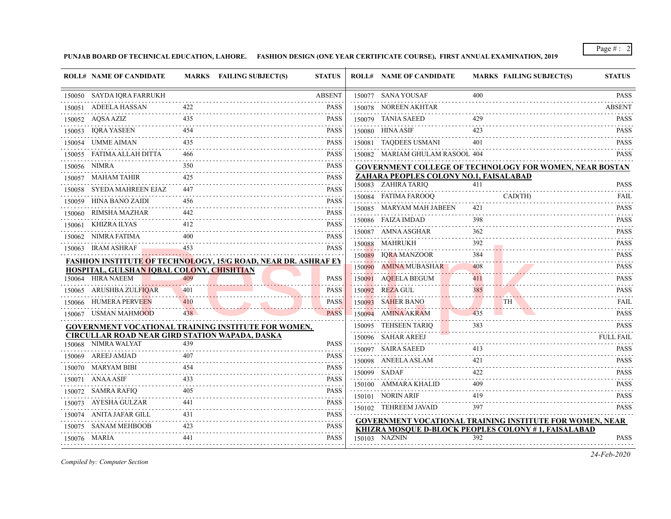**PUNJAB BOARD OF TECHNICAL EDUCATION, LAHORE. FASHION DESIGN (ONE YEAR CERTIFICATE COURSE), FIRST ANNUAL EXAMINATION, 2019**

|        | <b>ROLL# NAME OF CANDIDATE</b>                                               |     | MARKS FAILING SUBJECT(S)                                              | <b>STATUS</b>                                                                                                                                                       | <b>ROLL# NAME OF CANDIDATE</b>                                       |           | <b>MARKS FAILING SUBJECT(S)</b> | <b>STATUS</b>      |
|--------|------------------------------------------------------------------------------|-----|-----------------------------------------------------------------------|---------------------------------------------------------------------------------------------------------------------------------------------------------------------|----------------------------------------------------------------------|-----------|---------------------------------|--------------------|
|        | 150050 SAYDA IQRA FARRUKH                                                    |     |                                                                       | <b>ABSENT</b>                                                                                                                                                       | 150077 SANA YOUSAF                                                   | 400       |                                 | <b>PASS</b>        |
|        | 150051 ADEELA HASSAN                                                         |     |                                                                       | <b>PASS</b>                                                                                                                                                         | 150078 NOREEN AKHTAR                                                 |           |                                 | .<br><b>ABSENT</b> |
|        | 150052 AQSA AZIZ                                                             | 435 |                                                                       | <b>PASS</b>                                                                                                                                                         | 150079 TANIA SAEED                                                   | 429       |                                 | <b>PASS</b>        |
| 150053 | <b>IORA YASEEN</b>                                                           | 454 |                                                                       | <b>PASS</b>                                                                                                                                                         | 150080 HINA ASIF                                                     | 423       |                                 | <b>PASS</b>        |
|        | 150054 UMME AIMAN                                                            |     |                                                                       | <b>PASS</b>                                                                                                                                                         | 150081 TAQDEES USMANI                                                | 401       |                                 | <b>PASS</b>        |
|        | 150055 FATIMA ALLAH DITTA                                                    | 466 |                                                                       | <b>PASS</b>                                                                                                                                                         | 150082 MARIAM GHULAM RASOOL 404                                      |           |                                 | <b>PASS</b>        |
|        | 150056 NIMRA                                                                 | 350 |                                                                       | <b>PASS</b>                                                                                                                                                         | <b>GOVERNMENT COLLEGE OF TECHNOLOGY FOR WOMEN, NEAR BOSTAN</b>       |           |                                 |                    |
|        | 150057 MAHAM TAHIR                                                           | 425 |                                                                       | .<br><b>PASS</b>                                                                                                                                                    | ZAHARA PEOPLES COLONY NO.1, FAISALABAD                               |           |                                 |                    |
|        | 150058 SYEDA MAHREEN EJAZ                                                    | 447 |                                                                       | .<br><b>PASS</b>                                                                                                                                                    | 150083 ZAHIRA TARIO                                                  | 411       |                                 | <b>PASS</b>        |
| 150059 | HINA BANO ZAIDI                                                              | 456 |                                                                       | .<br><b>PASS</b>                                                                                                                                                    | 150084 FATIMA FAROOO                                                 | CAD(TH)   |                                 | FAIL               |
| 150060 | RIMSHA MAZHAR                                                                | 442 |                                                                       | <b>PASS</b>                                                                                                                                                         | 150085 MARYAM MAH JABEEN                                             | 421       |                                 | <b>PASS</b><br>.   |
|        | 150061 KHIZRA ILYAS                                                          | 412 |                                                                       | .<br><b>PASS</b>                                                                                                                                                    | 150086 FAIZA IMDAD                                                   | 398       |                                 | <b>PASS</b>        |
|        | 150062 NIMRA FATIMA                                                          | 400 |                                                                       | .<br>PASS                                                                                                                                                           | 150087 AMNA ASGHAR                                                   | 362       |                                 | <b>PASS</b>        |
|        | 150063 IRAM ASHRAF                                                           | 453 |                                                                       | <b>PASS</b>                                                                                                                                                         | 150088 MAHRUKH                                                       | 392       |                                 | <b>PASS</b><br>.   |
|        |                                                                              |     | <b>FASHION INSTITUTE OF TECHNOLOGY, 15/G ROAD, NEAR DR. ASHRAF EY</b> |                                                                                                                                                                     | 150089 IORA MANZOOR                                                  | 384       |                                 | <b>PASS</b>        |
|        | HOSPITAL, GULSHAN IQBAL COLONY, CHISHTIAN                                    |     |                                                                       |                                                                                                                                                                     | 150090 AMINA MUBASHAR                                                | 408       |                                 | <b>PASS</b>        |
|        | 150064 HIRA NAEEM                                                            | 409 |                                                                       | <b>PASS</b>                                                                                                                                                         | 150091 AQEELA BEGUM                                                  | 411       |                                 | <b>PASS</b><br>.   |
|        | 150065 ARUSHBA ZULFIQAR                                                      | 401 |                                                                       | <b>PASS</b>                                                                                                                                                         | 150092 REZA GUL                                                      | 385       |                                 | <b>PASS</b>        |
|        | 150066 HUMERA PERVEEN                                                        | 410 |                                                                       | <b>PASS</b>                                                                                                                                                         | 150093 SAHER BANO                                                    | <b>TH</b> |                                 | <b>FAIL</b>        |
|        | 150067 USMAN MAHMOOD                                                         | 438 |                                                                       | <b>PASS</b>                                                                                                                                                         | 150094 AMINA AKRAM                                                   | 435       |                                 | <b>PASS</b>        |
|        |                                                                              |     | <b>GOVERNMENT VOCATIONAL TRAINING INSTITUTE FOR WOMEN,</b>            |                                                                                                                                                                     | 150095 TEHSEEN TARIQ                                                 | 383       |                                 | PASS               |
|        | <b>CIRCULLAR ROAD NEAR GIRD STATION WAPADA, DASKA</b><br>150068 NIMRA WALYAT | 439 |                                                                       | <b>PASS</b>                                                                                                                                                         | 150096 SAHAR AREEJ                                                   |           |                                 | <b>FULL FAIL</b>   |
|        | 150069 AREEJ AMJAD                                                           | 407 |                                                                       | <b>PASS</b>                                                                                                                                                         | 150097 SAIRA SAEED                                                   | 413       |                                 | <b>PASS</b>        |
|        | 150070 MARYAM BIBI                                                           |     |                                                                       | <b>PASS</b>                                                                                                                                                         | 150098 ANEELA ASLAM                                                  | 421       |                                 | <b>PASS</b><br>.   |
|        | 150071 ANAA ASIF                                                             | 433 |                                                                       | .<br><b>PASS</b>                                                                                                                                                    | 150099 SADAF                                                         | 422       |                                 | <b>PASS</b><br>.   |
|        | 150072 SAMRA RAFIQ                                                           | 405 |                                                                       | <b>PASS</b>                                                                                                                                                         | 150100 AMMARA KHALID                                                 | 409       |                                 | <b>PASS</b>        |
|        | 150073 AYESHA GULZAR                                                         | 441 |                                                                       | $\frac{1}{2} \left( \frac{1}{2} \right) \left( \frac{1}{2} \right) \left( \frac{1}{2} \right) \left( \frac{1}{2} \right) \left( \frac{1}{2} \right)$<br><b>PASS</b> | 150101 NORIN ARIF                                                    | 419       |                                 | <b>PASS</b>        |
|        | 150074 ANITA JAFAR GILL                                                      | 431 |                                                                       | 2.2.2.2.2<br><b>PASS</b>                                                                                                                                            | 150102 TEHREEM JAVAID                                                | 397       |                                 | <b>PASS</b>        |
| 150075 | SANAM MEHBOOB                                                                | 423 |                                                                       | .<br><b>PASS</b>                                                                                                                                                    | GOVERNMENT VOCATIONAL TRAINING INSTITUTE FOR WOMEN, NEAR             |           |                                 |                    |
|        | 150076 MARIA                                                                 | 441 |                                                                       | <b>PASS</b>                                                                                                                                                         | KHIZRA MOSQUE D-BLOCK PEOPLES COLONY #1, FAISALABAD<br>150103 NAZNIN | 392       |                                 | <b>PASS</b>        |
|        |                                                                              |     |                                                                       |                                                                                                                                                                     |                                                                      |           |                                 |                    |

*Compiled by: Computer Section*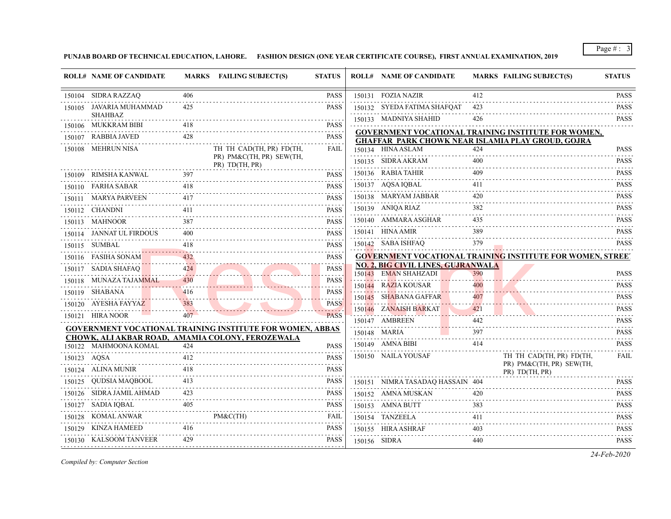**PUNJAB BOARD OF TECHNICAL EDUCATION, LAHORE. FASHION DESIGN (ONE YEAR CERTIFICATE COURSE), FIRST ANNUAL EXAMINATION, 2019**

| 150104 SIDRA RAZZAQ<br>150131 FOZIA NAZIR<br>412<br>406<br><b>PASS</b><br>150105 JAVARIA MUHAMMAD<br>425<br><b>PASS</b><br>150132 SYEDA FATIMA SHAFQAT<br>423<br><b>SHAHBAZ</b><br>150133 MADNIYA SHAHID<br>426<br>150106 MUKKRAM BIBI<br><b>PASS</b><br><b>GOVERNMENT VOCATIONAL TRAINING INSTITUTE FOR WOMEN,</b><br>428<br><b>PASS</b><br>150107 RABBIA JAVED<br><b>GHAFFAR PARK CHOWK NEAR ISLAMIA PLAY GROUD, GOJRA</b><br>150108 MEHRUN NISA<br>TH TH CAD(TH, PR) FD(TH,<br>FAIL<br>150134 HINA ASLAM<br>424<br>PR) PM&C(TH, PR) SEW(TH,<br>150135 SIDRA AKRAM<br>400<br>PR) TD(TH, PR)<br>150136 RABIA TAHIR<br>409<br>397<br>150109 RIMSHA KANWAL<br><b>PASS</b><br>150137 AQSA IQBAL<br>411<br>150110 FARHA SABAR<br>418<br><b>PASS</b><br>.<br>420<br>150138 MARYAM JABBAR<br><b>PASS</b><br>150111 MARYA PARVEEN<br>417<br>150139 ANIQA RIAZ<br>382<br>411<br><b>PASS</b><br>150112 CHANDNI<br>150140 AMMARA ASGHAR<br>435<br>150113 MAHNOOR<br><b>PASS</b><br>150141 HINA AMIR<br>389<br>150114 JANNAT UL FIRDOUS<br><b>PASS</b><br>400<br>379<br>150142 SABA ISHFAQ<br>150115 SUMBAL<br><b>PASS</b><br>150116 FASIHA SONAM<br><b>GOVERNMENT VOCATIONAL TRAINING INSTITUTE FOR WOMEN, STREET</b><br><b>PASS</b><br>NO. 2, BIG CIVIL LINES, GUJRANWALA<br>150117 SADIA SHAFAQ<br><b>PASS</b><br>424<br>150143 EMAN SHAHZADI<br>390<br><b>PASS</b><br>150118 MUNAZA TAJAMMAL<br>430<br><b>PASS</b><br><b>PASS</b><br>150144 RAZIA KOUSAR<br>400<br>150119 SHABANA<br>416<br><b>PASS</b><br>150145 SHABANA GAFFAR<br><b>PASS</b><br>407<br>150120 AYESHA FAYYAZ<br>383<br><b>PASS</b><br>4444<br>150146 ZANAISH BARKAT<br>421<br><b>PASS</b><br>407<br><b>PASS</b><br>150121 HIRA NOOR<br>150147 AMBREEN<br>442<br><b>GOVERNMENT VOCATIONAL TRAINING INSTITUTE FOR WOMEN, ABBAS</b><br>150148 MARIA<br>397<br>CHOWK, ALI AKBAR ROAD, AMAMIA COLONY, FEROZEWALA<br>150149 AMNA BIBI<br>414<br>150122 MAHMOONA KOMAL<br>424<br><b>PASS</b><br>150150 NAILA YOUSAF<br>TH TH CAD(TH, PR) FD(TH,<br>412<br><b>PASS</b><br>150123 AQSA<br>PR) PM&C(TH, PR) SEW(TH,<br>150124 ALINA MUNIR<br>418<br><b>PASS</b><br>PR) TD(TH, PR)<br>150125 QUDSIA MAQBOOL<br>413<br><b>PASS</b><br>150151 NIMRA TASADAQ HASSAIN 404<br>150126 SIDRA JAMIL AHMAD<br>423<br><b>PASS</b><br>150152 AMNA MUSKAN<br>420<br>150127 SADIA IQBAL<br>405<br><b>PASS</b><br>150153 AMNA BUTT<br>383<br>150128 KOMAL ANWAR<br>$PM\&C(TH)$<br>FAIL<br>150154 TANZEELA<br>411<br>150129 KINZA HAMEED<br>416<br><b>PASS</b><br>150155 HIRA ASHRAF<br>403<br>429<br><b>PASS</b><br>150130 KALSOOM TANVEER<br>150156 SIDRA<br>440 | <b>ROLL# NAME OF CANDIDATE</b> | MARKS FAILING SUBJECT(S) | <b>STATUS</b> | <b>ROLL# NAME OF CANDIDATE</b> | <b>MARKS FAILING SUBJECT(S)</b> | <b>STATUS</b>                                                                                                                                       |
|------------------------------------------------------------------------------------------------------------------------------------------------------------------------------------------------------------------------------------------------------------------------------------------------------------------------------------------------------------------------------------------------------------------------------------------------------------------------------------------------------------------------------------------------------------------------------------------------------------------------------------------------------------------------------------------------------------------------------------------------------------------------------------------------------------------------------------------------------------------------------------------------------------------------------------------------------------------------------------------------------------------------------------------------------------------------------------------------------------------------------------------------------------------------------------------------------------------------------------------------------------------------------------------------------------------------------------------------------------------------------------------------------------------------------------------------------------------------------------------------------------------------------------------------------------------------------------------------------------------------------------------------------------------------------------------------------------------------------------------------------------------------------------------------------------------------------------------------------------------------------------------------------------------------------------------------------------------------------------------------------------------------------------------------------------------------------------------------------------------------------------------------------------------------------------------------------------------------------------------------------------------------------------------------------------------------------------------------------------------------------------------------------------------------------------------------------------------------------------------------------------------------------------------------------------------------------------------------------|--------------------------------|--------------------------|---------------|--------------------------------|---------------------------------|-----------------------------------------------------------------------------------------------------------------------------------------------------|
|                                                                                                                                                                                                                                                                                                                                                                                                                                                                                                                                                                                                                                                                                                                                                                                                                                                                                                                                                                                                                                                                                                                                                                                                                                                                                                                                                                                                                                                                                                                                                                                                                                                                                                                                                                                                                                                                                                                                                                                                                                                                                                                                                                                                                                                                                                                                                                                                                                                                                                                                                                                                      |                                |                          |               |                                |                                 | <b>PASS</b>                                                                                                                                         |
|                                                                                                                                                                                                                                                                                                                                                                                                                                                                                                                                                                                                                                                                                                                                                                                                                                                                                                                                                                                                                                                                                                                                                                                                                                                                                                                                                                                                                                                                                                                                                                                                                                                                                                                                                                                                                                                                                                                                                                                                                                                                                                                                                                                                                                                                                                                                                                                                                                                                                                                                                                                                      |                                |                          |               |                                |                                 | .<br><b>PASS</b><br>.                                                                                                                               |
|                                                                                                                                                                                                                                                                                                                                                                                                                                                                                                                                                                                                                                                                                                                                                                                                                                                                                                                                                                                                                                                                                                                                                                                                                                                                                                                                                                                                                                                                                                                                                                                                                                                                                                                                                                                                                                                                                                                                                                                                                                                                                                                                                                                                                                                                                                                                                                                                                                                                                                                                                                                                      |                                |                          |               |                                |                                 | <b>PASS</b>                                                                                                                                         |
|                                                                                                                                                                                                                                                                                                                                                                                                                                                                                                                                                                                                                                                                                                                                                                                                                                                                                                                                                                                                                                                                                                                                                                                                                                                                                                                                                                                                                                                                                                                                                                                                                                                                                                                                                                                                                                                                                                                                                                                                                                                                                                                                                                                                                                                                                                                                                                                                                                                                                                                                                                                                      |                                |                          |               |                                |                                 |                                                                                                                                                     |
|                                                                                                                                                                                                                                                                                                                                                                                                                                                                                                                                                                                                                                                                                                                                                                                                                                                                                                                                                                                                                                                                                                                                                                                                                                                                                                                                                                                                                                                                                                                                                                                                                                                                                                                                                                                                                                                                                                                                                                                                                                                                                                                                                                                                                                                                                                                                                                                                                                                                                                                                                                                                      |                                |                          |               |                                |                                 |                                                                                                                                                     |
|                                                                                                                                                                                                                                                                                                                                                                                                                                                                                                                                                                                                                                                                                                                                                                                                                                                                                                                                                                                                                                                                                                                                                                                                                                                                                                                                                                                                                                                                                                                                                                                                                                                                                                                                                                                                                                                                                                                                                                                                                                                                                                                                                                                                                                                                                                                                                                                                                                                                                                                                                                                                      |                                |                          |               |                                |                                 | <b>PASS</b>                                                                                                                                         |
|                                                                                                                                                                                                                                                                                                                                                                                                                                                                                                                                                                                                                                                                                                                                                                                                                                                                                                                                                                                                                                                                                                                                                                                                                                                                                                                                                                                                                                                                                                                                                                                                                                                                                                                                                                                                                                                                                                                                                                                                                                                                                                                                                                                                                                                                                                                                                                                                                                                                                                                                                                                                      |                                |                          |               |                                |                                 | <b>PASS</b><br>$- - - - - -$                                                                                                                        |
|                                                                                                                                                                                                                                                                                                                                                                                                                                                                                                                                                                                                                                                                                                                                                                                                                                                                                                                                                                                                                                                                                                                                                                                                                                                                                                                                                                                                                                                                                                                                                                                                                                                                                                                                                                                                                                                                                                                                                                                                                                                                                                                                                                                                                                                                                                                                                                                                                                                                                                                                                                                                      |                                |                          |               |                                |                                 | <b>PASS</b>                                                                                                                                         |
|                                                                                                                                                                                                                                                                                                                                                                                                                                                                                                                                                                                                                                                                                                                                                                                                                                                                                                                                                                                                                                                                                                                                                                                                                                                                                                                                                                                                                                                                                                                                                                                                                                                                                                                                                                                                                                                                                                                                                                                                                                                                                                                                                                                                                                                                                                                                                                                                                                                                                                                                                                                                      |                                |                          |               |                                |                                 | <b>PASS</b><br>.                                                                                                                                    |
|                                                                                                                                                                                                                                                                                                                                                                                                                                                                                                                                                                                                                                                                                                                                                                                                                                                                                                                                                                                                                                                                                                                                                                                                                                                                                                                                                                                                                                                                                                                                                                                                                                                                                                                                                                                                                                                                                                                                                                                                                                                                                                                                                                                                                                                                                                                                                                                                                                                                                                                                                                                                      |                                |                          |               |                                |                                 | <b>PASS</b>                                                                                                                                         |
|                                                                                                                                                                                                                                                                                                                                                                                                                                                                                                                                                                                                                                                                                                                                                                                                                                                                                                                                                                                                                                                                                                                                                                                                                                                                                                                                                                                                                                                                                                                                                                                                                                                                                                                                                                                                                                                                                                                                                                                                                                                                                                                                                                                                                                                                                                                                                                                                                                                                                                                                                                                                      |                                |                          |               |                                |                                 | <b>PASS</b><br>.                                                                                                                                    |
|                                                                                                                                                                                                                                                                                                                                                                                                                                                                                                                                                                                                                                                                                                                                                                                                                                                                                                                                                                                                                                                                                                                                                                                                                                                                                                                                                                                                                                                                                                                                                                                                                                                                                                                                                                                                                                                                                                                                                                                                                                                                                                                                                                                                                                                                                                                                                                                                                                                                                                                                                                                                      |                                |                          |               |                                |                                 | <b>PASS</b><br>.                                                                                                                                    |
|                                                                                                                                                                                                                                                                                                                                                                                                                                                                                                                                                                                                                                                                                                                                                                                                                                                                                                                                                                                                                                                                                                                                                                                                                                                                                                                                                                                                                                                                                                                                                                                                                                                                                                                                                                                                                                                                                                                                                                                                                                                                                                                                                                                                                                                                                                                                                                                                                                                                                                                                                                                                      |                                |                          |               |                                |                                 | <b>PASS</b>                                                                                                                                         |
|                                                                                                                                                                                                                                                                                                                                                                                                                                                                                                                                                                                                                                                                                                                                                                                                                                                                                                                                                                                                                                                                                                                                                                                                                                                                                                                                                                                                                                                                                                                                                                                                                                                                                                                                                                                                                                                                                                                                                                                                                                                                                                                                                                                                                                                                                                                                                                                                                                                                                                                                                                                                      |                                |                          |               |                                |                                 | <b>PASS</b>                                                                                                                                         |
|                                                                                                                                                                                                                                                                                                                                                                                                                                                                                                                                                                                                                                                                                                                                                                                                                                                                                                                                                                                                                                                                                                                                                                                                                                                                                                                                                                                                                                                                                                                                                                                                                                                                                                                                                                                                                                                                                                                                                                                                                                                                                                                                                                                                                                                                                                                                                                                                                                                                                                                                                                                                      |                                |                          |               |                                |                                 |                                                                                                                                                     |
|                                                                                                                                                                                                                                                                                                                                                                                                                                                                                                                                                                                                                                                                                                                                                                                                                                                                                                                                                                                                                                                                                                                                                                                                                                                                                                                                                                                                                                                                                                                                                                                                                                                                                                                                                                                                                                                                                                                                                                                                                                                                                                                                                                                                                                                                                                                                                                                                                                                                                                                                                                                                      |                                |                          |               |                                |                                 |                                                                                                                                                     |
|                                                                                                                                                                                                                                                                                                                                                                                                                                                                                                                                                                                                                                                                                                                                                                                                                                                                                                                                                                                                                                                                                                                                                                                                                                                                                                                                                                                                                                                                                                                                                                                                                                                                                                                                                                                                                                                                                                                                                                                                                                                                                                                                                                                                                                                                                                                                                                                                                                                                                                                                                                                                      |                                |                          |               |                                |                                 | $- - - - - -$                                                                                                                                       |
|                                                                                                                                                                                                                                                                                                                                                                                                                                                                                                                                                                                                                                                                                                                                                                                                                                                                                                                                                                                                                                                                                                                                                                                                                                                                                                                                                                                                                                                                                                                                                                                                                                                                                                                                                                                                                                                                                                                                                                                                                                                                                                                                                                                                                                                                                                                                                                                                                                                                                                                                                                                                      |                                |                          |               |                                |                                 |                                                                                                                                                     |
|                                                                                                                                                                                                                                                                                                                                                                                                                                                                                                                                                                                                                                                                                                                                                                                                                                                                                                                                                                                                                                                                                                                                                                                                                                                                                                                                                                                                                                                                                                                                                                                                                                                                                                                                                                                                                                                                                                                                                                                                                                                                                                                                                                                                                                                                                                                                                                                                                                                                                                                                                                                                      |                                |                          |               |                                |                                 | .                                                                                                                                                   |
|                                                                                                                                                                                                                                                                                                                                                                                                                                                                                                                                                                                                                                                                                                                                                                                                                                                                                                                                                                                                                                                                                                                                                                                                                                                                                                                                                                                                                                                                                                                                                                                                                                                                                                                                                                                                                                                                                                                                                                                                                                                                                                                                                                                                                                                                                                                                                                                                                                                                                                                                                                                                      |                                |                          |               |                                |                                 | $-1 - 1 - 1 - 1$                                                                                                                                    |
|                                                                                                                                                                                                                                                                                                                                                                                                                                                                                                                                                                                                                                                                                                                                                                                                                                                                                                                                                                                                                                                                                                                                                                                                                                                                                                                                                                                                                                                                                                                                                                                                                                                                                                                                                                                                                                                                                                                                                                                                                                                                                                                                                                                                                                                                                                                                                                                                                                                                                                                                                                                                      |                                |                          |               |                                |                                 | <b>PASS</b><br>$\mathcal{L}^{\mathcal{A}}\left( \mathcal{A}^{\mathcal{A}}\right) =\mathcal{L}^{\mathcal{A}}\left( \mathcal{A}^{\mathcal{A}}\right)$ |
|                                                                                                                                                                                                                                                                                                                                                                                                                                                                                                                                                                                                                                                                                                                                                                                                                                                                                                                                                                                                                                                                                                                                                                                                                                                                                                                                                                                                                                                                                                                                                                                                                                                                                                                                                                                                                                                                                                                                                                                                                                                                                                                                                                                                                                                                                                                                                                                                                                                                                                                                                                                                      |                                |                          |               |                                |                                 | <b>PASS</b>                                                                                                                                         |
|                                                                                                                                                                                                                                                                                                                                                                                                                                                                                                                                                                                                                                                                                                                                                                                                                                                                                                                                                                                                                                                                                                                                                                                                                                                                                                                                                                                                                                                                                                                                                                                                                                                                                                                                                                                                                                                                                                                                                                                                                                                                                                                                                                                                                                                                                                                                                                                                                                                                                                                                                                                                      |                                |                          |               |                                |                                 | <b>PASS</b>                                                                                                                                         |
|                                                                                                                                                                                                                                                                                                                                                                                                                                                                                                                                                                                                                                                                                                                                                                                                                                                                                                                                                                                                                                                                                                                                                                                                                                                                                                                                                                                                                                                                                                                                                                                                                                                                                                                                                                                                                                                                                                                                                                                                                                                                                                                                                                                                                                                                                                                                                                                                                                                                                                                                                                                                      |                                |                          |               |                                |                                 | FAIL                                                                                                                                                |
|                                                                                                                                                                                                                                                                                                                                                                                                                                                                                                                                                                                                                                                                                                                                                                                                                                                                                                                                                                                                                                                                                                                                                                                                                                                                                                                                                                                                                                                                                                                                                                                                                                                                                                                                                                                                                                                                                                                                                                                                                                                                                                                                                                                                                                                                                                                                                                                                                                                                                                                                                                                                      |                                |                          |               |                                |                                 |                                                                                                                                                     |
|                                                                                                                                                                                                                                                                                                                                                                                                                                                                                                                                                                                                                                                                                                                                                                                                                                                                                                                                                                                                                                                                                                                                                                                                                                                                                                                                                                                                                                                                                                                                                                                                                                                                                                                                                                                                                                                                                                                                                                                                                                                                                                                                                                                                                                                                                                                                                                                                                                                                                                                                                                                                      |                                |                          |               |                                |                                 | <b>PASS</b>                                                                                                                                         |
|                                                                                                                                                                                                                                                                                                                                                                                                                                                                                                                                                                                                                                                                                                                                                                                                                                                                                                                                                                                                                                                                                                                                                                                                                                                                                                                                                                                                                                                                                                                                                                                                                                                                                                                                                                                                                                                                                                                                                                                                                                                                                                                                                                                                                                                                                                                                                                                                                                                                                                                                                                                                      |                                |                          |               |                                |                                 | <b>PASS</b>                                                                                                                                         |
|                                                                                                                                                                                                                                                                                                                                                                                                                                                                                                                                                                                                                                                                                                                                                                                                                                                                                                                                                                                                                                                                                                                                                                                                                                                                                                                                                                                                                                                                                                                                                                                                                                                                                                                                                                                                                                                                                                                                                                                                                                                                                                                                                                                                                                                                                                                                                                                                                                                                                                                                                                                                      |                                |                          |               |                                |                                 | .<br><b>PASS</b>                                                                                                                                    |
|                                                                                                                                                                                                                                                                                                                                                                                                                                                                                                                                                                                                                                                                                                                                                                                                                                                                                                                                                                                                                                                                                                                                                                                                                                                                                                                                                                                                                                                                                                                                                                                                                                                                                                                                                                                                                                                                                                                                                                                                                                                                                                                                                                                                                                                                                                                                                                                                                                                                                                                                                                                                      |                                |                          |               |                                |                                 | <b>PASS</b>                                                                                                                                         |
|                                                                                                                                                                                                                                                                                                                                                                                                                                                                                                                                                                                                                                                                                                                                                                                                                                                                                                                                                                                                                                                                                                                                                                                                                                                                                                                                                                                                                                                                                                                                                                                                                                                                                                                                                                                                                                                                                                                                                                                                                                                                                                                                                                                                                                                                                                                                                                                                                                                                                                                                                                                                      |                                |                          |               |                                |                                 | <b>PASS</b>                                                                                                                                         |
|                                                                                                                                                                                                                                                                                                                                                                                                                                                                                                                                                                                                                                                                                                                                                                                                                                                                                                                                                                                                                                                                                                                                                                                                                                                                                                                                                                                                                                                                                                                                                                                                                                                                                                                                                                                                                                                                                                                                                                                                                                                                                                                                                                                                                                                                                                                                                                                                                                                                                                                                                                                                      |                                |                          |               |                                |                                 | <b>PASS</b>                                                                                                                                         |

*Compiled by: Computer Section*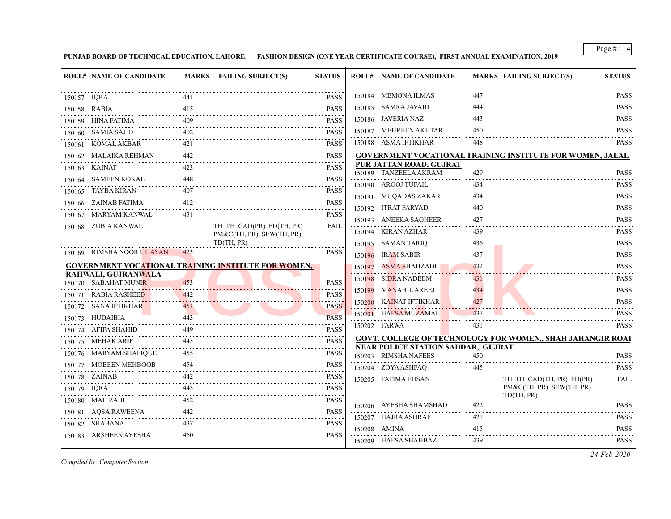**PUNJAB BOARD OF TECHNICAL EDUCATION, LAHORE. FASHION DESIGN (ONE YEAR CERTIFICATE COURSE), FIRST ANNUAL EXAMINATION, 2019**

| 150184 MEMONA ILMAS<br>447<br><b>PASS</b><br>441<br>150157 IQRA<br>150185 SAMRA JAVAID<br>444<br>415<br><b>PASS</b><br>150158 RABIA<br>150186 JAVERIA NAZ<br>443<br>150159 HINA FATIMA<br><b>PASS</b><br>150187 MEHREEN AKHTAR<br>450<br>150160 SAMIA SAJID<br><b>PASS</b><br>150188 ASMA IFTIKHAR<br>448<br>150161 KOMAL AKBAR<br>421<br><b>PASS</b><br>150162 MALAIKA REHMAN<br><b>GOVERNMENT VOCATIONAL TRAINING INSTITUTE FOR WOMEN, JALAL</b><br>442<br><b>PASS</b><br>.<br>PUR JATTAN ROAD, GUJRAT<br><b>PASS</b><br>150163 KAINAT<br>150189 TANZEELA AKRAM<br>429<br><b>PASS</b><br>150164 SAMEEN KOKAB<br>150190 AROOJ TUFAIL<br>434<br>150165 TAYBA KIRAN<br><b>PASS</b><br>150191 MUQADAS ZAKAR<br>434<br>150166 ZAINAB FATIMA<br>412<br><b>PASS</b><br>150192 ITRAT FARYAD<br>440<br>2.2.2.2.2<br>150167 MARYAM KANWAL<br>431<br><b>PASS</b><br>150193 ANEEKA SAGHEER<br>427<br>.<br>.<br>150168 ZUBIA KANWAL<br>TH TH CAD(PR) FD(TH, PR)<br>FAIL<br>150194 KIRAN AZHAR<br>439<br>PM&C(TH, PR) SEW(TH, PR)<br>TD(TH, PR)<br>150195 SAMAN TARIO<br>436<br>150169 RIMSHA NOOR ULAYAN<br><b>PASS</b><br>423<br>150196 IRAM SABIR<br>437<br><b>GOVERNMENT VOCATIONAL TRAINING INSTITUTE FOR WOMEN,</b><br>150197 ASMA SHAHZADI<br>432<br>RAHWALI, GUJRANWALA<br>150198 SIDRA NADEEM<br>431<br>150170 SABAHAT MUNIR<br>453<br><b>PASS</b><br>150199 MANAHIL AREEJ<br>434<br>150171 RABIA RASHEED<br><b>PASS</b><br>442<br>150200 KAINAT IFTIKHAR<br>427<br>150172 SANA IFTIKHAR<br>451<br><b>PASS</b><br>and a state<br>150201 HAFSA MUZAMAL<br>437<br>150173 HUDAIBIA<br><b>PASS</b><br>443<br>150202 FARWA<br>431<br>150174 AFIFA SHAHID<br><b>PASS</b><br><b>GOVT. COLLEGE OF TECHNOLOGY FOR WOMEN,, SHAH JAHANGIR ROAI</b><br><b>PASS</b><br>150175 MEHAK ARIF<br><b>NEAR POLICE STATION SADDAR,, GUJRAT</b><br>150176 MARYAM SHAFIQUE<br><b>PASS</b><br>455<br>150203 RIMSHA NAFEES<br>450<br>150177 MOBEEN MEHBOOB<br><b>PASS</b><br>454<br>150204 ZOYA ASHFAQ<br>445<br>PASS<br>150178 ZAINAB<br>442.<br>150205 FATIMA EHSAN<br>TH TH CAD(TH, PR) FD(PR)<br>PM&C(TH, PR) SEW(TH, PR)<br>445<br><b>PASS</b><br>150179 IQRA<br>TD(TH, PR)<br>150180 MAH ZAIB<br><b>PASS</b><br>452<br>422<br>150206 AYESHA SHAMSHAD<br>150181 AQSA RAWEENA<br>442<br><b>PASS</b><br>150207 HAJRA ASHRAF<br>421<br>.<br>150182 SHABANA<br><b>PASS</b><br>150208 AMINA<br>415<br>.<br><b>PASS</b><br>150183 ARSHEEN AYESHA<br>460 | <b>ROLL# NAME OF CANDIDATE</b> | MARKS FAILING SUBJECT(S) | <b>STATUS</b> | <b>ROLL# NAME OF CANDIDATE</b> |     | MARKS FAILING SUBJECT(S) | <b>STATUS</b>               |
|----------------------------------------------------------------------------------------------------------------------------------------------------------------------------------------------------------------------------------------------------------------------------------------------------------------------------------------------------------------------------------------------------------------------------------------------------------------------------------------------------------------------------------------------------------------------------------------------------------------------------------------------------------------------------------------------------------------------------------------------------------------------------------------------------------------------------------------------------------------------------------------------------------------------------------------------------------------------------------------------------------------------------------------------------------------------------------------------------------------------------------------------------------------------------------------------------------------------------------------------------------------------------------------------------------------------------------------------------------------------------------------------------------------------------------------------------------------------------------------------------------------------------------------------------------------------------------------------------------------------------------------------------------------------------------------------------------------------------------------------------------------------------------------------------------------------------------------------------------------------------------------------------------------------------------------------------------------------------------------------------------------------------------------------------------------------------------------------------------------------------------------------------------------------------------------------------------------------------------------------------------------------------------------------------------------------------------------------------------------------------------------------------------------------------|--------------------------------|--------------------------|---------------|--------------------------------|-----|--------------------------|-----------------------------|
|                                                                                                                                                                                                                                                                                                                                                                                                                                                                                                                                                                                                                                                                                                                                                                                                                                                                                                                                                                                                                                                                                                                                                                                                                                                                                                                                                                                                                                                                                                                                                                                                                                                                                                                                                                                                                                                                                                                                                                                                                                                                                                                                                                                                                                                                                                                                                                                                                            |                                |                          |               |                                |     |                          | <b>PASS</b><br>.            |
|                                                                                                                                                                                                                                                                                                                                                                                                                                                                                                                                                                                                                                                                                                                                                                                                                                                                                                                                                                                                                                                                                                                                                                                                                                                                                                                                                                                                                                                                                                                                                                                                                                                                                                                                                                                                                                                                                                                                                                                                                                                                                                                                                                                                                                                                                                                                                                                                                            |                                |                          |               |                                |     |                          | <b>PASS</b><br>.            |
|                                                                                                                                                                                                                                                                                                                                                                                                                                                                                                                                                                                                                                                                                                                                                                                                                                                                                                                                                                                                                                                                                                                                                                                                                                                                                                                                                                                                                                                                                                                                                                                                                                                                                                                                                                                                                                                                                                                                                                                                                                                                                                                                                                                                                                                                                                                                                                                                                            |                                |                          |               |                                |     |                          | <b>PASS</b>                 |
|                                                                                                                                                                                                                                                                                                                                                                                                                                                                                                                                                                                                                                                                                                                                                                                                                                                                                                                                                                                                                                                                                                                                                                                                                                                                                                                                                                                                                                                                                                                                                                                                                                                                                                                                                                                                                                                                                                                                                                                                                                                                                                                                                                                                                                                                                                                                                                                                                            |                                |                          |               |                                |     |                          | <b>PASS</b>                 |
|                                                                                                                                                                                                                                                                                                                                                                                                                                                                                                                                                                                                                                                                                                                                                                                                                                                                                                                                                                                                                                                                                                                                                                                                                                                                                                                                                                                                                                                                                                                                                                                                                                                                                                                                                                                                                                                                                                                                                                                                                                                                                                                                                                                                                                                                                                                                                                                                                            |                                |                          |               |                                |     |                          | <b>PASS</b>                 |
|                                                                                                                                                                                                                                                                                                                                                                                                                                                                                                                                                                                                                                                                                                                                                                                                                                                                                                                                                                                                                                                                                                                                                                                                                                                                                                                                                                                                                                                                                                                                                                                                                                                                                                                                                                                                                                                                                                                                                                                                                                                                                                                                                                                                                                                                                                                                                                                                                            |                                |                          |               |                                |     |                          |                             |
|                                                                                                                                                                                                                                                                                                                                                                                                                                                                                                                                                                                                                                                                                                                                                                                                                                                                                                                                                                                                                                                                                                                                                                                                                                                                                                                                                                                                                                                                                                                                                                                                                                                                                                                                                                                                                                                                                                                                                                                                                                                                                                                                                                                                                                                                                                                                                                                                                            |                                |                          |               |                                |     |                          |                             |
|                                                                                                                                                                                                                                                                                                                                                                                                                                                                                                                                                                                                                                                                                                                                                                                                                                                                                                                                                                                                                                                                                                                                                                                                                                                                                                                                                                                                                                                                                                                                                                                                                                                                                                                                                                                                                                                                                                                                                                                                                                                                                                                                                                                                                                                                                                                                                                                                                            |                                |                          |               |                                |     |                          | <b>PASS</b>                 |
|                                                                                                                                                                                                                                                                                                                                                                                                                                                                                                                                                                                                                                                                                                                                                                                                                                                                                                                                                                                                                                                                                                                                                                                                                                                                                                                                                                                                                                                                                                                                                                                                                                                                                                                                                                                                                                                                                                                                                                                                                                                                                                                                                                                                                                                                                                                                                                                                                            |                                |                          |               |                                |     |                          | <b>PASS</b>                 |
|                                                                                                                                                                                                                                                                                                                                                                                                                                                                                                                                                                                                                                                                                                                                                                                                                                                                                                                                                                                                                                                                                                                                                                                                                                                                                                                                                                                                                                                                                                                                                                                                                                                                                                                                                                                                                                                                                                                                                                                                                                                                                                                                                                                                                                                                                                                                                                                                                            |                                |                          |               |                                |     |                          | <b>PASS</b><br><b>PASS</b>  |
|                                                                                                                                                                                                                                                                                                                                                                                                                                                                                                                                                                                                                                                                                                                                                                                                                                                                                                                                                                                                                                                                                                                                                                                                                                                                                                                                                                                                                                                                                                                                                                                                                                                                                                                                                                                                                                                                                                                                                                                                                                                                                                                                                                                                                                                                                                                                                                                                                            |                                |                          |               |                                |     |                          | .<br><b>PASS</b>            |
|                                                                                                                                                                                                                                                                                                                                                                                                                                                                                                                                                                                                                                                                                                                                                                                                                                                                                                                                                                                                                                                                                                                                                                                                                                                                                                                                                                                                                                                                                                                                                                                                                                                                                                                                                                                                                                                                                                                                                                                                                                                                                                                                                                                                                                                                                                                                                                                                                            |                                |                          |               |                                |     |                          | .<br><b>PASS</b>            |
|                                                                                                                                                                                                                                                                                                                                                                                                                                                                                                                                                                                                                                                                                                                                                                                                                                                                                                                                                                                                                                                                                                                                                                                                                                                                                                                                                                                                                                                                                                                                                                                                                                                                                                                                                                                                                                                                                                                                                                                                                                                                                                                                                                                                                                                                                                                                                                                                                            |                                |                          |               |                                |     |                          | <b>PASS</b>                 |
|                                                                                                                                                                                                                                                                                                                                                                                                                                                                                                                                                                                                                                                                                                                                                                                                                                                                                                                                                                                                                                                                                                                                                                                                                                                                                                                                                                                                                                                                                                                                                                                                                                                                                                                                                                                                                                                                                                                                                                                                                                                                                                                                                                                                                                                                                                                                                                                                                            |                                |                          |               |                                |     |                          | .<br><b>PASS</b>            |
|                                                                                                                                                                                                                                                                                                                                                                                                                                                                                                                                                                                                                                                                                                                                                                                                                                                                                                                                                                                                                                                                                                                                                                                                                                                                                                                                                                                                                                                                                                                                                                                                                                                                                                                                                                                                                                                                                                                                                                                                                                                                                                                                                                                                                                                                                                                                                                                                                            |                                |                          |               |                                |     |                          | <b>PASS</b>                 |
|                                                                                                                                                                                                                                                                                                                                                                                                                                                                                                                                                                                                                                                                                                                                                                                                                                                                                                                                                                                                                                                                                                                                                                                                                                                                                                                                                                                                                                                                                                                                                                                                                                                                                                                                                                                                                                                                                                                                                                                                                                                                                                                                                                                                                                                                                                                                                                                                                            |                                |                          |               |                                |     |                          | .<br><b>PASS</b>            |
|                                                                                                                                                                                                                                                                                                                                                                                                                                                                                                                                                                                                                                                                                                                                                                                                                                                                                                                                                                                                                                                                                                                                                                                                                                                                                                                                                                                                                                                                                                                                                                                                                                                                                                                                                                                                                                                                                                                                                                                                                                                                                                                                                                                                                                                                                                                                                                                                                            |                                |                          |               |                                |     |                          | .<br><b>PASS</b>            |
|                                                                                                                                                                                                                                                                                                                                                                                                                                                                                                                                                                                                                                                                                                                                                                                                                                                                                                                                                                                                                                                                                                                                                                                                                                                                                                                                                                                                                                                                                                                                                                                                                                                                                                                                                                                                                                                                                                                                                                                                                                                                                                                                                                                                                                                                                                                                                                                                                            |                                |                          |               |                                |     |                          | <b>PASS</b>                 |
|                                                                                                                                                                                                                                                                                                                                                                                                                                                                                                                                                                                                                                                                                                                                                                                                                                                                                                                                                                                                                                                                                                                                                                                                                                                                                                                                                                                                                                                                                                                                                                                                                                                                                                                                                                                                                                                                                                                                                                                                                                                                                                                                                                                                                                                                                                                                                                                                                            |                                |                          |               |                                |     |                          | <b>PASS</b>                 |
|                                                                                                                                                                                                                                                                                                                                                                                                                                                                                                                                                                                                                                                                                                                                                                                                                                                                                                                                                                                                                                                                                                                                                                                                                                                                                                                                                                                                                                                                                                                                                                                                                                                                                                                                                                                                                                                                                                                                                                                                                                                                                                                                                                                                                                                                                                                                                                                                                            |                                |                          |               |                                |     |                          | <b>PASS</b>                 |
|                                                                                                                                                                                                                                                                                                                                                                                                                                                                                                                                                                                                                                                                                                                                                                                                                                                                                                                                                                                                                                                                                                                                                                                                                                                                                                                                                                                                                                                                                                                                                                                                                                                                                                                                                                                                                                                                                                                                                                                                                                                                                                                                                                                                                                                                                                                                                                                                                            |                                |                          |               |                                |     |                          |                             |
|                                                                                                                                                                                                                                                                                                                                                                                                                                                                                                                                                                                                                                                                                                                                                                                                                                                                                                                                                                                                                                                                                                                                                                                                                                                                                                                                                                                                                                                                                                                                                                                                                                                                                                                                                                                                                                                                                                                                                                                                                                                                                                                                                                                                                                                                                                                                                                                                                            |                                |                          |               |                                |     |                          |                             |
|                                                                                                                                                                                                                                                                                                                                                                                                                                                                                                                                                                                                                                                                                                                                                                                                                                                                                                                                                                                                                                                                                                                                                                                                                                                                                                                                                                                                                                                                                                                                                                                                                                                                                                                                                                                                                                                                                                                                                                                                                                                                                                                                                                                                                                                                                                                                                                                                                            |                                |                          |               |                                |     |                          | PASS                        |
|                                                                                                                                                                                                                                                                                                                                                                                                                                                                                                                                                                                                                                                                                                                                                                                                                                                                                                                                                                                                                                                                                                                                                                                                                                                                                                                                                                                                                                                                                                                                                                                                                                                                                                                                                                                                                                                                                                                                                                                                                                                                                                                                                                                                                                                                                                                                                                                                                            |                                |                          |               |                                |     |                          | <b>PASS</b>                 |
|                                                                                                                                                                                                                                                                                                                                                                                                                                                                                                                                                                                                                                                                                                                                                                                                                                                                                                                                                                                                                                                                                                                                                                                                                                                                                                                                                                                                                                                                                                                                                                                                                                                                                                                                                                                                                                                                                                                                                                                                                                                                                                                                                                                                                                                                                                                                                                                                                            |                                |                          |               |                                |     |                          | FAIL                        |
|                                                                                                                                                                                                                                                                                                                                                                                                                                                                                                                                                                                                                                                                                                                                                                                                                                                                                                                                                                                                                                                                                                                                                                                                                                                                                                                                                                                                                                                                                                                                                                                                                                                                                                                                                                                                                                                                                                                                                                                                                                                                                                                                                                                                                                                                                                                                                                                                                            |                                |                          |               |                                |     |                          |                             |
|                                                                                                                                                                                                                                                                                                                                                                                                                                                                                                                                                                                                                                                                                                                                                                                                                                                                                                                                                                                                                                                                                                                                                                                                                                                                                                                                                                                                                                                                                                                                                                                                                                                                                                                                                                                                                                                                                                                                                                                                                                                                                                                                                                                                                                                                                                                                                                                                                            |                                |                          |               |                                |     |                          | <b>PASS</b>                 |
|                                                                                                                                                                                                                                                                                                                                                                                                                                                                                                                                                                                                                                                                                                                                                                                                                                                                                                                                                                                                                                                                                                                                                                                                                                                                                                                                                                                                                                                                                                                                                                                                                                                                                                                                                                                                                                                                                                                                                                                                                                                                                                                                                                                                                                                                                                                                                                                                                            |                                |                          |               |                                |     |                          | <b>PASS</b>                 |
|                                                                                                                                                                                                                                                                                                                                                                                                                                                                                                                                                                                                                                                                                                                                                                                                                                                                                                                                                                                                                                                                                                                                                                                                                                                                                                                                                                                                                                                                                                                                                                                                                                                                                                                                                                                                                                                                                                                                                                                                                                                                                                                                                                                                                                                                                                                                                                                                                            |                                |                          |               |                                |     |                          | 2.2.2.2.2.2.<br><b>PASS</b> |
| 150209 HAFSA SHAHBAZ                                                                                                                                                                                                                                                                                                                                                                                                                                                                                                                                                                                                                                                                                                                                                                                                                                                                                                                                                                                                                                                                                                                                                                                                                                                                                                                                                                                                                                                                                                                                                                                                                                                                                                                                                                                                                                                                                                                                                                                                                                                                                                                                                                                                                                                                                                                                                                                                       |                                |                          |               |                                | 439 |                          | <b>PASS</b>                 |

*Compiled by: Computer Section*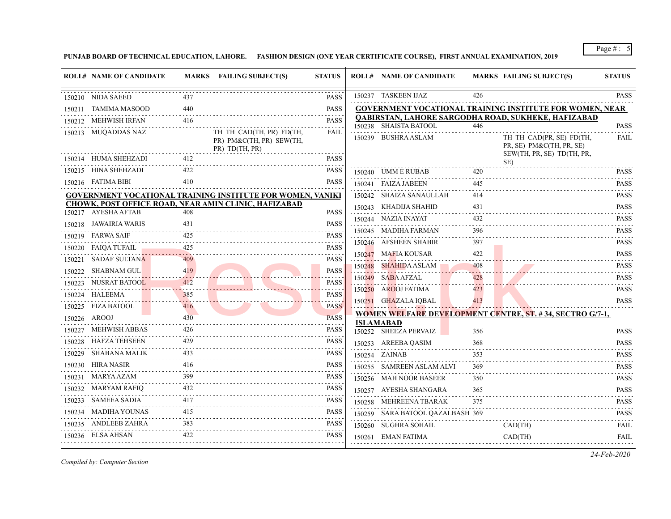**PUNJAB BOARD OF TECHNICAL EDUCATION, LAHORE. FASHION DESIGN (ONE YEAR CERTIFICATE COURSE), FIRST ANNUAL EXAMINATION, 2019**

| <b>ROLL# NAME OF CANDIDATE</b> |     | MARKS FAILING SUBJECT(S)                                               | <b>STATUS</b>    | <b>ROLL# NAME OF CANDIDATE</b>            |     | <b>MARKS FAILING SUBJECT(S)</b>                                                    | <b>STATUS</b>                                                                                                                                       |
|--------------------------------|-----|------------------------------------------------------------------------|------------------|-------------------------------------------|-----|------------------------------------------------------------------------------------|-----------------------------------------------------------------------------------------------------------------------------------------------------|
| 150210 NIDA SAEED              |     |                                                                        | <b>PASS</b>      | 150237 TASKEEN IJAZ                       | 426 |                                                                                    | <b>PASS</b>                                                                                                                                         |
| 150211 TAMIMA MASOOD           | 440 |                                                                        | <b>PASS</b>      |                                           |     | <b>GOVERNMENT VOCATIONAL TRAINING INSTITUTE FOR WOMEN, NEAR</b>                    |                                                                                                                                                     |
| 150212 MEHWISH IRFAN           | 416 |                                                                        | .<br><b>PASS</b> | 150238 SHAISTA BATOOL                     | 446 | QABIRSTAN, LAHORE SARGODHA ROAD, SUKHEKE, HAFIZABAD                                | <b>PASS</b>                                                                                                                                         |
| 150213 MUQADDAS NAZ            |     | TH TH CAD(TH, PR) FD(TH,<br>PR) PM&C(TH, PR) SEW(TH,<br>PR) TD(TH, PR) | <b>FAIL</b>      | 150239 BUSHRA ASLAM                       |     | TH TH CAD(PR, SE) FD(TH,<br>PR, SE) PM&C(TH, PR, SE)<br>SEW(TH, PR, SE) TD(TH, PR, | .<br>FAIL                                                                                                                                           |
| 150214 HUMA SHEHZADI           | 412 |                                                                        | <b>PASS</b>      |                                           |     | SE)                                                                                |                                                                                                                                                     |
| 150215 HINA SHEHZADI           | 422 |                                                                        | <b>PASS</b>      | 150240 UMM E RUBAB                        | 420 |                                                                                    | <b>PASS</b>                                                                                                                                         |
| 150216 FATIMA BIBI             | 410 |                                                                        | <b>PASS</b>      | 150241 FAIZA JABEEN                       | 445 |                                                                                    | <b>PASS</b>                                                                                                                                         |
|                                |     | <b>GOVERNMENT VOCATIONAL TRAINING INSTITUTE FOR WOMEN, VANIKI</b>      |                  | 150242 SHAIZA SANAULLAH                   | 414 |                                                                                    | <b>PASS</b>                                                                                                                                         |
| 150217 AYESHA AFTAB            | 408 | CHOWK, POST OFFICE ROAD, NEAR AMIN CLINIC, HAFIZABAD                   | <b>PASS</b>      | 150243 KHADIJA SHAHID                     | 431 |                                                                                    | <b>PASS</b>                                                                                                                                         |
| 150218 JAWAIRIA WARIS          |     |                                                                        | .<br><b>PASS</b> | 150244 NAZIA INAYAT                       | 432 |                                                                                    | <b>PASS</b><br>$\alpha$ , $\alpha$ , $\alpha$ , $\alpha$ , $\alpha$                                                                                 |
| 150219 FARWA SAIF              | 425 |                                                                        | <b>PASS</b>      | 150245 MADIHA FARMAN                      | 396 |                                                                                    | <b>PASS</b>                                                                                                                                         |
| 150220 FAIQA TUFAIL            | 425 |                                                                        | <b>PASS</b>      | 150246 AFSHEEN SHABIR                     | 397 |                                                                                    | <b>PASS</b>                                                                                                                                         |
| 150221 SADAF SULTANA           |     |                                                                        | <b>PASS</b>      | 150247 MAFIA KOUSAR                       | 422 |                                                                                    | <b>PASS</b>                                                                                                                                         |
| 150222 SHABNAM GUL             | 419 |                                                                        | <b>PASS</b>      | 150248 SHAHIDA ASLAM                      | 408 |                                                                                    | <b>PASS</b>                                                                                                                                         |
| 150223 NUSRAT BATOOL           | 412 |                                                                        | .<br><b>PASS</b> | 150249 SABA AFZAL                         | 428 |                                                                                    | <b>PASS</b>                                                                                                                                         |
| 150224 HALEEMA                 | 385 |                                                                        | <b>PASS</b>      | 150250 AROOJ FATIMA                       | 423 |                                                                                    | <b>PASS</b>                                                                                                                                         |
| 150225 FIZA BATOOL             | 416 |                                                                        | <b>PASS</b>      | 150251 GHAZALA IQBAL                      | 413 |                                                                                    | <b>PASS</b>                                                                                                                                         |
| 150226 AROOJ                   | 430 |                                                                        | <b>PASS</b>      |                                           |     | <b>WOMEN WELFARE DEVELOPMENT CENTRE, ST. #34, SECTRO G/7-1,</b>                    |                                                                                                                                                     |
| 150227 MEHWISH ABBAS           | 426 |                                                                        | <b>PASS</b>      | <b>ISLAMABAD</b><br>150252 SHEEZA PERVAIZ | 356 |                                                                                    | <b>PASS</b>                                                                                                                                         |
| 150228 HAFZA TEHSEEN           | 429 |                                                                        | PASS             | 150253 AREEBA QASIM                       | 368 |                                                                                    | <b>PASS</b>                                                                                                                                         |
| 150229 SHABANA MALIK           | 433 |                                                                        | <b>PASS</b>      | 150254 ZAINAB                             | 353 |                                                                                    | <b>PASS</b>                                                                                                                                         |
| 150230 HIRA NASIR              | 416 |                                                                        | <b>PASS</b>      | 150255 SAMREEN ASLAM ALVI                 | 369 |                                                                                    | <b>PASS</b>                                                                                                                                         |
| 150231 MARYA AZAM              | 399 |                                                                        | <b>PASS</b>      | 150256 MAH NOOR BASEER                    | 350 |                                                                                    | <b>PASS</b>                                                                                                                                         |
| 150232 MARYAM RAFIQ            |     |                                                                        | <b>PASS</b>      | 150257 AYESHA SHANGARA                    | 365 |                                                                                    | <b>PASS</b>                                                                                                                                         |
| 150233 SAMEEA SADIA            | 417 |                                                                        | <b>PASS</b>      | 150258 MEHREENA TBARAK                    | 375 |                                                                                    | <b>PASS</b>                                                                                                                                         |
| 150234 MADIHA YOUNAS           | 415 |                                                                        | <b>PASS</b>      | 150259 SARA BATOOL QAZALBASH 369          |     |                                                                                    | $\mathcal{L}^{\mathcal{A}}\left( \mathcal{A}^{\mathcal{A}}\right) =\mathcal{L}^{\mathcal{A}}\left( \mathcal{A}^{\mathcal{A}}\right)$<br><b>PASS</b> |
| 150235 ANDLEEB ZAHRA           |     |                                                                        | <b>PASS</b>      | 150260 SUGHRA SOHAIL                      |     | $CAD$ (TH)                                                                         | <b>FAIL</b>                                                                                                                                         |
| 150236 ELSA AHSAN              | 422 |                                                                        | <b>PASS</b>      | 150261 EMAN FATIMA                        |     | CAD(TH)                                                                            | <b>FAIL</b>                                                                                                                                         |
|                                |     |                                                                        |                  |                                           |     |                                                                                    |                                                                                                                                                     |

*Compiled by: Computer Section*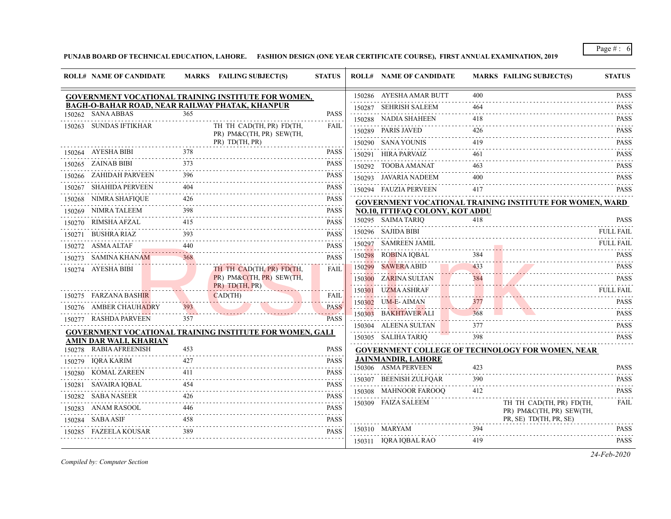**PUNJAB BOARD OF TECHNICAL EDUCATION, LAHORE. FASHION DESIGN (ONE YEAR CERTIFICATE COURSE), FIRST ANNUAL EXAMINATION, 2019**

|        | <b>ROLL# NAME OF CANDIDATE</b>                  |     | MARKS FAILING SUBJECT(S)                                        | <b>STATUS</b>                |        | <b>ROLL# NAME OF CANDIDATE</b>  |          | <b>MARKS FAILING SUBJECT(S)</b>                                 | <b>STATUS</b>    |
|--------|-------------------------------------------------|-----|-----------------------------------------------------------------|------------------------------|--------|---------------------------------|----------|-----------------------------------------------------------------|------------------|
|        |                                                 |     | GOVERNMENT VOCATIONAL TRAINING INSTITUTE FOR WOMEN,             |                              |        | 150286 AYESHA AMAR BUTT         | 400      |                                                                 | <b>PASS</b>      |
|        | BAGH-O-BAHAR ROAD, NEAR RAILWAY PHATAK, KHANPUR |     |                                                                 |                              |        | 150287 SEHRISH SALEEM           | 464      |                                                                 | <b>PASS</b>      |
|        | 150262 SANA ABBAS                               | 365 |                                                                 | <b>PASS</b>                  |        | 150288 NADIA SHAHEEN            | 418      |                                                                 | <b>PASS</b>      |
|        | 150263 SUNDAS IFTIKHAR                          |     | TH TH CAD(TH, PR) FD(TH,<br>PR) PM&C(TH, PR) SEW(TH,            | <b>FAIL</b>                  |        | 150289 PARIS JAVED              | 426      |                                                                 | <b>PASS</b>      |
|        |                                                 |     | PR) TD(TH, PR)                                                  |                              |        | 150290 SANA YOUNIS              | 419      |                                                                 | <b>PASS</b>      |
|        | 150264 AYESHA BIBI                              | 378 |                                                                 | <b>PASS</b>                  |        | 150291 HIRA PARVAIZ             | 461      |                                                                 | <b>PASS</b>      |
|        | 150265 ZAINAB BIBI                              | 373 |                                                                 | <b>PASS</b>                  |        | 150292 TOOBA AMANAT             | 463      |                                                                 | <b>PASS</b>      |
|        | 150266 ZAHIDAH PARVEEN                          | 396 |                                                                 | <b>PASS</b>                  |        | 150293 JAVARIA NADEEM           | 400      |                                                                 | <b>PASS</b>      |
|        | 150267 SHAHIDA PERVEEN                          | 404 |                                                                 | <b>PASS</b>                  |        | 150294 FAUZIA PERVEEN           | 417      |                                                                 | <b>PASS</b>      |
| 150268 | NIMRA SHAFIQUE                                  | 426 |                                                                 | <b>PASS</b><br>$- - - - - -$ |        |                                 |          | <b>GOVERNMENT VOCATIONAL TRAINING INSTITUTE FOR WOMEN, WARD</b> |                  |
|        | 150269 NIMRA TALEEM                             | 398 |                                                                 | <b>PASS</b>                  |        | NO.10, ITTIFAQ COLONY, KOT ADDU |          |                                                                 |                  |
| 150270 | RIMSHA AFZAL                                    | 415 |                                                                 | <b>PASS</b>                  |        | 150295 SAIMA TARIQ              | 418      |                                                                 | <b>PASS</b>      |
| 150271 | BUSHRA RIAZ                                     |     |                                                                 | <b>PASS</b>                  |        | 150296 SAJIDA BIBI              |          |                                                                 | <b>FULL FAIL</b> |
|        | 150272 ASMA ALTAF                               | 440 |                                                                 | <b>PASS</b>                  |        | 150297 SAMREEN JAMIL            |          |                                                                 | <b>FULL FAIL</b> |
| 150273 | SAMINA KHANAM                                   | 368 |                                                                 | <b>PASS</b>                  |        | 150298 ROBINA IQBAL             | 384      |                                                                 | <b>PASS</b>      |
| 150274 | AYESHA BIBI                                     |     | TH TH CAD(TH, PR) FD(TH,                                        | <b>FAIL</b>                  |        | 150299 SAWERA ABID              | 433      |                                                                 | <b>PASS</b>      |
|        |                                                 |     | PR) PM&C(TH, PR) SEW(TH,<br>PR) TD(TH, PR)                      |                              |        | 150300 ZARINA SULTAN            | 384<br>. |                                                                 | <b>PASS</b>      |
|        | 150275 FARZANA BASHIR                           |     | $CAD$ (TH)                                                      | <b>FAIL</b>                  | 150301 | UZMA ASHRAF                     |          |                                                                 | <b>FULL FAIL</b> |
|        | 150276 AMBER CHAUHADRY                          | 393 |                                                                 | <b>PASS</b>                  |        | 150302 UM-E-AIMAN               | 377      |                                                                 | <b>PASS</b>      |
|        | 150277 RASHDA PARVEEN                           | 357 |                                                                 | <b>PASS</b>                  |        | 150303 BAKHTAVER ALI            | 368      |                                                                 | <b>PASS</b>      |
|        |                                                 |     | <b>GOVERNMENT VOCATIONAL TRAINING INSTITUTE FOR WOMEN, GALI</b> |                              |        | 150304 ALEENA SULTAN            | 377      |                                                                 | <b>PASS</b>      |
|        | <b>AMIN DAR WALI, KHARIAN</b>                   |     |                                                                 |                              |        | 150305 SALIHA TARIQ             | 398      |                                                                 | <b>PASS</b>      |
|        | 150278 RABIA AFREENISH                          | 453 |                                                                 | <b>PASS</b>                  |        |                                 |          | <b>GOVERNMENT COLLEGE OF TECHNOLOGY FOR WOMEN, NEAR</b>         |                  |
|        | 150279 IQRA KARIM                               | 427 |                                                                 | <b>PASS</b>                  |        | <b>JAINMANDIR, LAHORE</b>       |          |                                                                 |                  |
| 150280 | KOMAL ZAREEN                                    | 411 |                                                                 | <b>PASS</b>                  |        | 150306 ASMA PERVEEN             | 423      |                                                                 | <b>PASS</b>      |
| 150281 | SAVAIRA IQBAL                                   | 454 |                                                                 | $-1 - 1 - 1$<br><b>PASS</b>  |        | 150307 BEENISH ZULFQAR          | 390      |                                                                 | <b>PASS</b><br>. |
| 150282 | <b>SABA NASEER</b>                              | 426 |                                                                 | <b>PASS</b>                  |        | 150308 MAHNOOR FAROOO           | 412      |                                                                 | <b>PASS</b>      |
| 150283 | ANAM RASOOL                                     |     |                                                                 | <b>PASS</b>                  |        | 150309 FAIZA SALEEM             |          | TH TH CAD(TH, PR) FD(TH,<br>PR) PM&C(TH, PR) SEW(TH,            | FAIL             |
|        | 150284 SABA ASIF                                | 458 |                                                                 | <b>PASS</b>                  |        |                                 |          | PR, SE) TD(TH, PR, SE)                                          |                  |
|        | 150285 FAZEELA KOUSAR                           | 389 |                                                                 | <b>PASS</b>                  |        | 150310 MARYAM                   | 394      |                                                                 | <b>PASS</b>      |
|        |                                                 |     |                                                                 |                              |        | 150311 IQRA IQBAL RAO           | 419      |                                                                 | <b>PASS</b>      |

*Compiled by: Computer Section*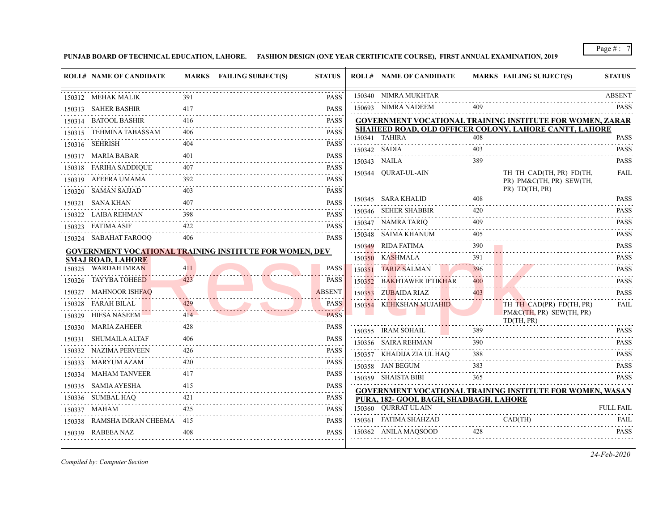**PUNJAB BOARD OF TECHNICAL EDUCATION, LAHORE. FASHION DESIGN (ONE YEAR CERTIFICATE COURSE), FIRST ANNUAL EXAMINATION, 2019**

|        | <b>ROLL# NAME OF CANDIDATE</b> |     | MARKS FAILING SUBJECT(S)                                       | <b>STATUS</b>                                            | <b>ROLL# NAME OF CANDIDATE</b>         |          | <b>MARKS FAILING SUBJECT(S)</b>                                  | <b>STATUS</b>                |
|--------|--------------------------------|-----|----------------------------------------------------------------|----------------------------------------------------------|----------------------------------------|----------|------------------------------------------------------------------|------------------------------|
|        | 150312 MEHAK MALIK             | 391 |                                                                | <b>PASS</b>                                              | 150340 NIMRA MUKHTAR                   |          |                                                                  | <b>ABSENT</b>                |
|        | 150313 SAHER BASHIR            | 417 |                                                                | <b>PASS</b>                                              | 150693 NIMRA NADEEM                    |          |                                                                  | <b>PASS</b>                  |
|        | 150314 BATOOL BASHIR           | 416 |                                                                | .<br><b>PASS</b>                                         |                                        |          | <b>GOVERNMENT VOCATIONAL TRAINING INSTITUTE FOR WOMEN, ZARAR</b> |                              |
|        | 150315 TEHMINA TABASSAM        | 406 |                                                                | <b>PASS</b>                                              |                                        |          | SHAHEED ROAD, OLD OFFICER COLONY, LAHORE CANTT, LAHORE           |                              |
|        | 150316 SEHRISH                 |     |                                                                | $\alpha$ , $\alpha$ , $\alpha$ , $\alpha$<br><b>PASS</b> | 150341 TAHIRA                          | 408      |                                                                  | <b>PASS</b>                  |
|        | 150317 MARIA BABAR             | 401 |                                                                | <b>PASS</b>                                              | 150342 SADIA                           | 403      |                                                                  | <b>PASS</b>                  |
|        | 150318 FARIHA SADDIQUE         |     |                                                                | $\sim$ $\sim$ $\sim$ $\sim$ $\sim$<br><b>PASS</b>        | 150343 NAILA                           | 389      |                                                                  | <b>PASS</b>                  |
|        | 150319 AFEERA UMAMA            | 392 |                                                                | PASS                                                     | 150344 QURAT-UL-AIN                    |          | TH TH CAD(TH, PR) FD(TH,<br>PR) PM&C(TH, PR) SEW(TH,             | FAIL                         |
|        | 150320 SAMAN SAJJAD            | 403 |                                                                | <b>PASS</b>                                              |                                        |          | PR) TD(TH, PR)                                                   |                              |
|        | 150321 SANA KHAN               |     |                                                                | <b>PASS</b>                                              | 150345 SARA KHALID                     | 408      |                                                                  | <b>PASS</b><br>داند با با با |
|        | 150322 LAIBA REHMAN            | 398 |                                                                | $-1 - 1 - 1 - 1$<br><b>PASS</b>                          | 150346 SEHER SHABBIR                   | 420      |                                                                  | <b>PASS</b><br>.             |
|        | 150323 FATIMA ASIF             | 422 |                                                                | <b>PASS</b>                                              | 150347 NAMRA TARIQ                     | 409      |                                                                  | <b>PASS</b>                  |
|        | 150324 SABAHAT FAROOQ          | 406 |                                                                | <b>PASS</b>                                              | 150348 SAIMA KHANUM                    | 405      |                                                                  | <b>PASS</b>                  |
|        |                                |     | <b>GOVERNMENT VOCATIONAL TRAINING INSTITUTE FOR WOMEN, DEV</b> |                                                          | 150349 RIDA FATIMA                     | 390<br>. |                                                                  | <b>PASS</b><br>.             |
|        | <b>SMAJ ROAD, LAHORE</b>       |     |                                                                |                                                          | 150350 KASHMALA                        | 391      |                                                                  | <b>PASS</b><br>.             |
|        | 150325 WARDAH IMRAN            | 411 |                                                                | PASS                                                     | 150351 TARIZ SALMAN                    | 396<br>. |                                                                  | <b>PASS</b><br>.             |
| 150326 | TAYYBA TOHEE <b>D</b>          | 423 |                                                                | <b>PASS</b>                                              | 150352 BAKHTAWER IFTIKHAR              | 400      |                                                                  | <b>PASS</b>                  |
| 150327 | <b>MAHNOOR ISHFAO</b>          |     |                                                                | <b>ABSENT</b>                                            | 150353 ZUBAIDA RIAZ                    | 403      |                                                                  | <b>PASS</b><br>.             |
|        | 150328 FARAH BILAL             |     |                                                                | <b>PASS</b>                                              | 150354 KEHKSHAN MUJAHID                |          | TH TH CAD(PR) FD(TH, PR)                                         | FAIL                         |
|        | 150329 HIFSA NASEEM            | 414 |                                                                | <b>PASS</b>                                              |                                        |          | PM&C(TH, PR) SEW(TH, PR)<br>TD(TH, PR)                           |                              |
|        | 150330 MARIA ZAHEER            | 428 |                                                                | <b>PASS</b><br>the project of the project                | 150355 IRAM SOHAIL                     | 389      |                                                                  | <b>PASS</b>                  |
|        | 150331 SHUMAILA ALTAF          | 406 |                                                                | <b>PASS</b>                                              | 150356 SAIRA REHMAN                    | 390      |                                                                  | <b>PASS</b>                  |
|        | 150332 NAZIMA PERVEEN          | 426 |                                                                | <b>PASS</b>                                              | 150357 KHADIJA ZIA UL HAQ              | .<br>388 |                                                                  | .<br><b>PASS</b>             |
|        | 150333 MARYUM AZAM             |     |                                                                | <b>PASS</b>                                              | 150358 JAN BEGUM                       | 383      |                                                                  | <b>PASS</b>                  |
|        | 150334 MAHAM TANVEER           | 417 |                                                                | <b>PASS</b><br><u>.</u>                                  | 150359 SHAISTA BIBI                    | 365      |                                                                  | <b>PASS</b>                  |
|        | 150335 SAMIA AYESHA            |     |                                                                | <b>PASS</b><br>.                                         |                                        |          | <b>GOVERNMENT VOCATIONAL TRAINING INSTITUTE FOR WOMEN, WASAN</b> |                              |
|        | 150336 SUMBAL HAQ              | 421 |                                                                | <b>PASS</b>                                              | PURA, 182- GOOL BAGH, SHADBAGH, LAHORE |          |                                                                  |                              |
|        | 150337 MAHAM                   | 425 |                                                                | <b>PASS</b>                                              | 150360 QURRAT UL AIN                   |          |                                                                  | <b>FULL FAIL</b>             |
|        | 150338 RAMSHA IMRAN CHEEMA 415 |     |                                                                | <b>PASS</b>                                              | 150361 FATIMA SHAHZAD                  |          | CAD(TH)                                                          | FAIL<br>.                    |
|        | 150339 RABEEA NAZ              | 408 |                                                                | <b>PASS</b>                                              | 150362 ANILA MAQSOOD                   | 428      |                                                                  | PASS                         |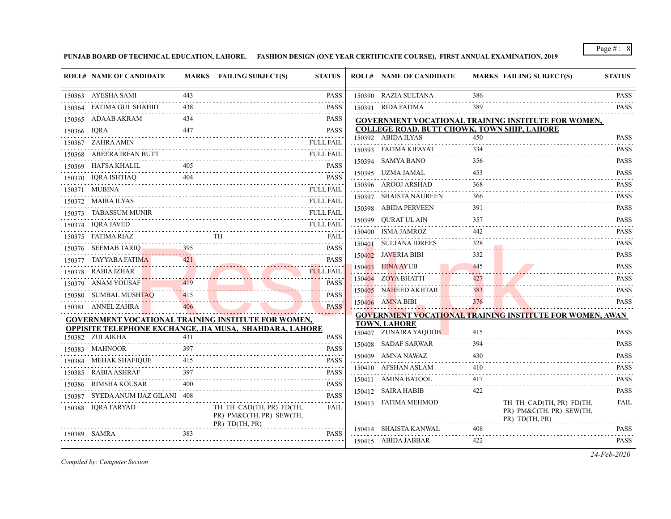**PUNJAB BOARD OF TECHNICAL EDUCATION, LAHORE. FASHION DESIGN (ONE YEAR CERTIFICATE COURSE), FIRST ANNUAL EXAMINATION, 2019**

|        | <b>ROLL# NAME OF CANDIDATE</b> |     | MARKS FAILING SUBJECT(S)                                                                                              | <b>STATUS</b>                                            |        | <b>ROLL# NAME OF CANDIDATE</b>                     |                 | <b>MARKS FAILING SUBJECT(S)</b>                                        | <b>STATUS</b>               |
|--------|--------------------------------|-----|-----------------------------------------------------------------------------------------------------------------------|----------------------------------------------------------|--------|----------------------------------------------------|-----------------|------------------------------------------------------------------------|-----------------------------|
|        | 150363 AYESHA SAMI             | 443 |                                                                                                                       | <b>PASS</b>                                              |        | 150390 RAZIA SULTANA                               | 386             |                                                                        | <b>PASS</b>                 |
|        | 150364 FATIMA GUL SHAHID       | 438 |                                                                                                                       | <b>PASS</b>                                              |        | 150391 RIDA FATIMA                                 | 389             |                                                                        | .<br><b>PASS</b>            |
|        | 150365 ADAAB AKRAM             | 434 |                                                                                                                       | <b>PASS</b>                                              |        |                                                    |                 | <b>GOVERNMENT VOCATIONAL TRAINING INSTITUTE FOR WOMEN,</b>             |                             |
| 150366 | <b>IORA</b>                    | 447 |                                                                                                                       | <b>PASS</b>                                              |        | <b>COLLEGE ROAD, BUTT CHOWK, TOWN SHIP, LAHORE</b> |                 |                                                                        |                             |
|        | 150367 ZAHRA AMIN              |     |                                                                                                                       | <b>FULL FAIL</b>                                         |        | 150392 ABIDA ILYAS                                 | 450             |                                                                        | <b>PASS</b>                 |
|        | 150368 ABEERA IRFAN BUTT       |     |                                                                                                                       | <b>FULL FAIL</b>                                         |        | 150393 FATIMA KIFAYAT                              | 334             |                                                                        | <b>PASS</b><br>.            |
|        | 150369 HAFSA KHALIL            | 405 |                                                                                                                       | <b>PASS</b>                                              | 150394 | <b>SAMYA BANO</b>                                  | 356<br>$  -$    |                                                                        | <b>PASS</b><br>.            |
|        | 150370 IQRA ISHTIAQ            | 404 |                                                                                                                       | .<br><b>PASS</b>                                         |        | 150395 UZMA JAMAL                                  | 453             |                                                                        | <b>PASS</b>                 |
|        | 150371 MUBINA                  |     |                                                                                                                       | <b>FULL FAIL</b>                                         |        | 150396 AROOJ ARSHAD                                | 368             |                                                                        | <b>PASS</b>                 |
|        | 150372 MAIRA ILYAS             |     |                                                                                                                       | <b>FULL FAIL</b>                                         |        | 150397 SHAISTA NAUREEN                             | 366             |                                                                        | <b>PASS</b>                 |
| 150373 | TABASSUM MUNIR                 |     |                                                                                                                       | FULL FAIL                                                |        | 150398 ABIDA PERVEEN                               | 391             |                                                                        | <b>PASS</b><br>.            |
|        | 150374 IQRA JAVED              |     |                                                                                                                       | FULL FAIL                                                | 150399 | OURAT UL AIN                                       | 357             |                                                                        | <b>PASS</b><br>.            |
|        | 150375 FATIMA RIAZ             |     | TH                                                                                                                    | <b>FAIL</b>                                              |        | 150400 ISMA JAMROZ                                 | 442             |                                                                        | <b>PASS</b><br>$-1 - 1 - 1$ |
|        | 150376 SEEMAB TARIQ            | 395 |                                                                                                                       | <b>PASS</b>                                              | 150401 | <b>SULTANA IDREES</b>                              | 328<br>.        |                                                                        | <b>PASS</b><br>.            |
| 150377 | TAYYABA FATIMA                 | 421 |                                                                                                                       | <b>PASS</b>                                              |        | 150402 JAVERIA BIBI                                | 332             |                                                                        | <b>PASS</b>                 |
|        | 150378 RABIA IZHAR             |     |                                                                                                                       | <b>FULL FAIL</b>                                         |        | $150403$ HINA AYUB                                 | 445             |                                                                        | <b>PASS</b>                 |
|        | 150379 ANAM YOUSAF             | 419 |                                                                                                                       | <u>.</u><br><b>PASS</b>                                  |        | 150404 ZOYA BHATTI                                 | 427             |                                                                        | <b>PASS</b>                 |
|        | SUMBAL MUSHTAO                 | 415 |                                                                                                                       | <b>PASS</b>                                              |        | 150405 NAHEED AKHTAR                               | .<br>383        |                                                                        | <b>PASS</b>                 |
| 150380 |                                | 406 |                                                                                                                       |                                                          |        | 150406 AMNA BIBI                                   | المتواطن<br>376 |                                                                        | 2.2.2.2.2.1<br><b>PASS</b>  |
|        | 150381 ANNEL ZAHRA             |     |                                                                                                                       | <b>PASS</b><br>.                                         |        |                                                    |                 | <b>GOVERNMENT VOCATIONAL TRAINING INSTITUTE FOR WOMEN, AWAN</b>        |                             |
|        |                                |     | <b>GOVERNMENT VOCATIONAL TRAINING INSTITUTE FOR WOMEN,</b><br>OPPISITE TELEPHONE EXCHANGE, JIA MUSA, SHAHDARA, LAHORE |                                                          |        | <b>TOWN, LAHORE</b>                                |                 |                                                                        |                             |
|        | 150382 ZULAIKHA                | 431 |                                                                                                                       | <b>PASS</b>                                              |        | 150407 ZUNAIRA YAQOOB                              | 415             |                                                                        | <b>PASS</b>                 |
|        | 150383 MAHNOOR                 | 397 |                                                                                                                       | <b>PASS</b>                                              |        | 150408 SADAF SARWAR                                | 394             |                                                                        | <b>PASS</b>                 |
|        | 150384 MEHAK SHAFIQUE          | 415 |                                                                                                                       | <b>PASS</b>                                              |        | 150409 AMNA NAWAZ                                  | 430             |                                                                        | <b>PASS</b>                 |
|        | 150385 RABIA ASHRAF            | 397 |                                                                                                                       | .<br><b>PASS</b>                                         |        | 150410 AFSHAN ASLAM                                | 410             |                                                                        | <b>PASS</b>                 |
| 150386 | RIMSHA KOUSAR                  |     |                                                                                                                       | $-1 - 1 - 1$<br><b>PASS</b>                              |        | 150411 AMINA BATOOL                                | 417             |                                                                        | <b>PASS</b>                 |
| 150387 | SYEDA ANUM IJAZ GILANI 408     |     |                                                                                                                       | $\alpha$ , $\alpha$ , $\alpha$ , $\alpha$<br><b>PASS</b> |        | 150412 SAIRA HABIB                                 | 422             |                                                                        | <b>PASS</b>                 |
|        | 150388 IQRA FARYAD             |     | TH TH CAD(TH, PR) FD(TH,<br>PR) PM&C(TH, PR) SEW(TH,                                                                  | FAIL                                                     |        | 150413 FATIMA MEHMOD                               |                 | TH TH CAD(TH, PR) FD(TH,<br>PR) PM&C(TH, PR) SEW(TH,<br>PR) TD(TH, PR) | <b>FAIL</b>                 |
|        | 150389 SAMRA                   | 383 | PR) TD(TH, PR)                                                                                                        | <b>PASS</b>                                              |        | 150414 SHAISTA KANWAL                              | 408             |                                                                        | <b>PASS</b>                 |
|        |                                |     |                                                                                                                       |                                                          |        | 150415 ABIDA JABBAR                                | 422             |                                                                        | <b>PASS</b>                 |

*Compiled by: Computer Section*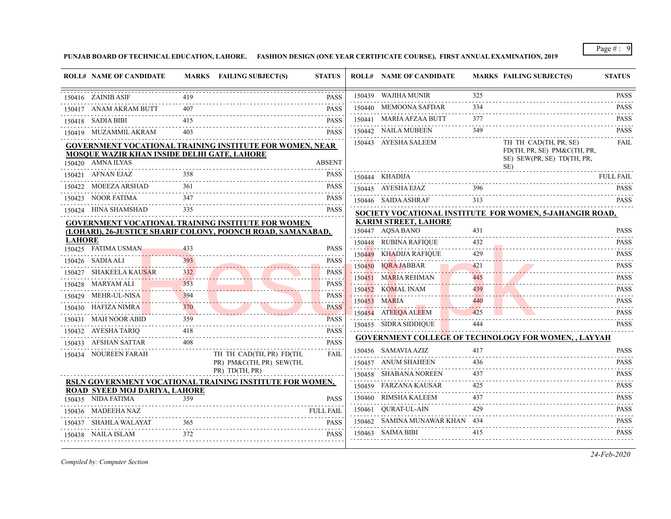**PUNJAB BOARD OF TECHNICAL EDUCATION, LAHORE. FASHION DESIGN (ONE YEAR CERTIFICATE COURSE), FIRST ANNUAL EXAMINATION, 2019**

|               | <b>ROLL# NAME OF CANDIDATE</b>                                   |     | MARKS FAILING SUBJECT(S)                                    | <b>STATUS</b>                                                       | <b>ROLL# NAME OF CANDIDATE</b>                    |                   | <b>MARKS FAILING SUBJECT(S)</b>                            | <b>STATUS</b>                                                                                                                                                                                    |
|---------------|------------------------------------------------------------------|-----|-------------------------------------------------------------|---------------------------------------------------------------------|---------------------------------------------------|-------------------|------------------------------------------------------------|--------------------------------------------------------------------------------------------------------------------------------------------------------------------------------------------------|
|               | 150416 ZAINIB ASIF                                               | 419 |                                                             | <b>PASS</b>                                                         | 150439 WAJIHA MUNIR                               | 325               |                                                            | <b>PASS</b>                                                                                                                                                                                      |
|               | 150417 ANAM AKRAM BUTT                                           |     |                                                             | <b>PASS</b>                                                         | 150440 MEMOONA SAFDAR                             | 334               |                                                            | <b>PASS</b><br>1.1.1.1.1                                                                                                                                                                         |
|               | 150418 SADIA BIBI                                                | 415 |                                                             | <b>PASS</b>                                                         | 150441 MARIA AFZAA BUTT                           | 377               |                                                            | <b>PASS</b>                                                                                                                                                                                      |
|               | 150419 MUZAMMIL AKRAM                                            |     |                                                             | <b>PASS</b>                                                         | 150442 NAILA MUBEEN                               | 349               |                                                            | <b>PASS</b><br>.                                                                                                                                                                                 |
|               |                                                                  |     | GOVERNMENT VOCATIONAL TRAINING INSTITUTE FOR WOMEN, NEAR    |                                                                     | 150443 AYESHA SALEEM                              |                   | TH TH CAD(TH, PR, SE)<br>FD(TH, PR, SE) PM&C(TH, PR,       | <b>FAIL</b>                                                                                                                                                                                      |
|               | MOSOUE WAZIR KHAN INSIDE DELHI GATE, LAHORE<br>150420 AMNA ILYAS |     |                                                             | <b>ABSENT</b>                                                       |                                                   |                   | SE) SEW(PR, SE) TD(TH, PR,<br>SE)                          |                                                                                                                                                                                                  |
|               | 150421 AFNAN EJAZ                                                |     |                                                             | <b>PASS</b>                                                         | 150444 KHADIJA                                    |                   |                                                            | FULL FAIL                                                                                                                                                                                        |
|               | 150422 MOEEZA ARSHAD                                             | 361 |                                                             | <b>PASS</b>                                                         | 150445 AYESHA EJAZ                                | 396               |                                                            | <b>PASS</b>                                                                                                                                                                                      |
|               | 150423 NOOR FATIMA                                               | 347 |                                                             | <b>PASS</b><br>2.2.2.2.2.2.2                                        | 150446 SAIDA ASHRAF                               | 313               |                                                            | .<br><b>PASS</b>                                                                                                                                                                                 |
|               | 150424 HINA SHAMSHAD                                             |     |                                                             | <b>PASS</b>                                                         |                                                   |                   | SOCIETY VOCATIONAL INSTITUTE FOR WOMEN, 5-JAHANGIR ROAD,   |                                                                                                                                                                                                  |
|               |                                                                  |     | GOVERNMENT VOCATIONAL TRAINING INSTITUTE FOR WOMEN          |                                                                     | <b>KARIM STREET, LAHORE</b>                       |                   |                                                            |                                                                                                                                                                                                  |
| <b>LAHORE</b> |                                                                  |     | (LOHARI), 26-JUSTICE SHARIF COLONY, POONCH ROAD, SAMANABAD, |                                                                     | 150447 AOSA BANO                                  | 431               |                                                            | <b>PASS</b>                                                                                                                                                                                      |
|               | 150425 FATIMA USMAN                                              | 433 |                                                             | <b>PASS</b>                                                         | 150448 RUBINA RAFIQUE<br>.                        | 432               |                                                            | <b>PASS</b><br>.                                                                                                                                                                                 |
|               | 150426 SADIA ALI                                                 | 393 |                                                             | <b>PASS</b>                                                         | 150449 KHADIJA RAFIQUE                            |                   |                                                            | <b>PASS</b>                                                                                                                                                                                      |
| 150427        | SHAKEELA KAU <mark>SA</mark> R                                   | 332 |                                                             | .<br><b>PASS</b>                                                    | 150450 IQRA JABBAR                                | 421               |                                                            | <b>PASS</b>                                                                                                                                                                                      |
|               | 150428 MARYAM ALI                                                | 353 |                                                             | $\alpha$ , $\alpha$ , $\alpha$ , $\alpha$ , $\alpha$<br><b>PASS</b> | 150451 MARIA REHMAN                               | 445               |                                                            | <b>PASS</b><br>$\mathcal{L}^{\mathcal{A}}\mathcal{L}^{\mathcal{A}}\mathcal{L}^{\mathcal{A}}\mathcal{L}^{\mathcal{A}}\mathcal{L}^{\mathcal{A}}\mathcal{L}^{\mathcal{A}}\mathcal{L}^{\mathcal{A}}$ |
|               | 150429 MEHR-UL-NISA                                              | 394 |                                                             | .<br><b>PASS</b>                                                    | 150452 KOMAL INAM                                 |                   |                                                            | <b>PASS</b>                                                                                                                                                                                      |
|               | 150430 HAFIZA NIMRA                                              | 370 |                                                             | .<br><b>PASS</b>                                                    | 150453 MARIA<br><b>Contract Contract Contract</b> | 440<br><u>. /</u> |                                                            | <b>PASS</b><br><u>.</u>                                                                                                                                                                          |
|               | 150431 MAH NOOR ABID                                             | 359 |                                                             | المربوب بوابياتها<br><b>PASS</b>                                    | 150454 ATEEQA ALEEM                               | 425               |                                                            | <b>PASS</b><br>.                                                                                                                                                                                 |
|               | 150432 AYESHA TARIQ                                              | 418 |                                                             | .<br><b>PASS</b>                                                    | 150455 SIDRA SIDDIQUE                             | 444               |                                                            | <b>PASS</b>                                                                                                                                                                                      |
|               | 150433 AFSHAN SATTAR                                             | 408 |                                                             | <b>PASS</b>                                                         |                                                   |                   | <b>GOVERNMENT COLLEGE OF TECHNOLOGY FOR WOMEN,, LAYYAH</b> |                                                                                                                                                                                                  |
|               | 150434 NOUREEN FARAH                                             |     | TH TH CAD(TH, PR) FD(TH,                                    | <b>FAIL</b>                                                         | 150456 SAMAVIA AZIZ                               | 417               |                                                            | <b>PASS</b><br><u>.</u>                                                                                                                                                                          |
|               |                                                                  |     | PR) PM&C(TH, PR) SEW(TH,<br>PR) TD(TH, PR)                  |                                                                     | 150457 ANUM SHAHEEN                               | 436               |                                                            | <b>PASS</b>                                                                                                                                                                                      |
|               |                                                                  |     | RSLN GOVERNMENT VOCATIONAL TRAINING INSTITUTE FOR WOMEN,    |                                                                     | 150458 SHABANA NOREEN                             | 437<br>.          |                                                            | <b>PASS</b>                                                                                                                                                                                      |
|               | ROAD SYEED MOJ DARIYA, LAHORE                                    |     |                                                             |                                                                     | 150459 FARZANA KAUSAR                             |                   |                                                            | <b>PASS</b>                                                                                                                                                                                      |
|               | 150435 NIDA FATIMA                                               | 359 |                                                             | <b>PASS</b>                                                         | 150460 RIMSHA KALEEM                              | 437               |                                                            | <b>PASS</b><br>.                                                                                                                                                                                 |
|               | 150436 MADEEHA NAZ                                               |     |                                                             | <b>FULL FAIL</b>                                                    | 150461 QURAT-UL-AIN                               | 429               |                                                            | <b>PASS</b><br>.                                                                                                                                                                                 |
|               | 150437 SHAHLA WALAYAT                                            | 365 |                                                             | <b>PASS</b>                                                         | 150462 SAMINA MUNAWAR KHAN 434                    |                   |                                                            | <b>PASS</b>                                                                                                                                                                                      |
|               | 150438 NAILA ISLAM                                               | 372 |                                                             | <b>PASS</b>                                                         | 150463 SAIMA BIBI                                 | 415               |                                                            | <b>PASS</b>                                                                                                                                                                                      |
|               |                                                                  |     |                                                             |                                                                     |                                                   |                   |                                                            |                                                                                                                                                                                                  |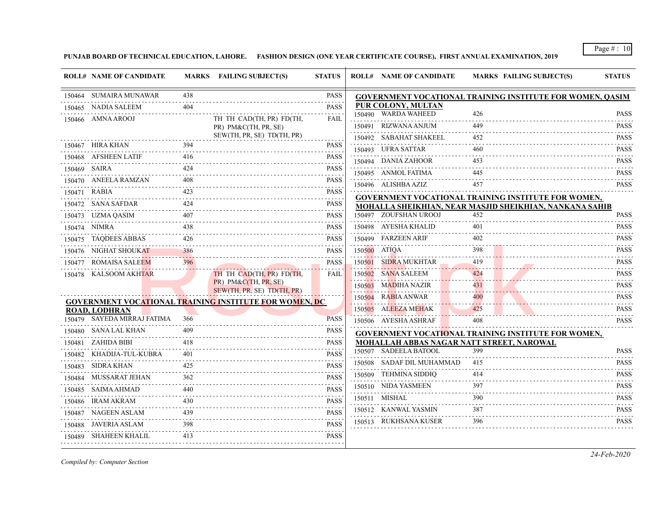**PUNJAB BOARD OF TECHNICAL EDUCATION, LAHORE. FASHION DESIGN (ONE YEAR CERTIFICATE COURSE), FIRST ANNUAL EXAMINATION, 2019**

|        | <b>ROLL# NAME OF CANDIDATE</b> |     | MARKS FAILING SUBJECT(S)                                      | <b>STATUS</b>                                                                                                                                                                               | <b>ROLL# NAME OF CANDIDATE</b> | <b>MARKS FAILING SUBJECT(S)</b>                                  | <b>STATUS</b>                                                                                                    |
|--------|--------------------------------|-----|---------------------------------------------------------------|---------------------------------------------------------------------------------------------------------------------------------------------------------------------------------------------|--------------------------------|------------------------------------------------------------------|------------------------------------------------------------------------------------------------------------------|
|        | 150464 SUMAIRA MUNAWAR         | 438 |                                                               | <b>PASS</b>                                                                                                                                                                                 |                                | <b>GOVERNMENT VOCATIONAL TRAINING INSTITUTE FOR WOMEN, QASIM</b> |                                                                                                                  |
|        | 150465 NADIA SALEEM            | 404 |                                                               | <b>PASS</b>                                                                                                                                                                                 | <b>PUR COLONY, MULTAN</b>      |                                                                  |                                                                                                                  |
|        | 150466 AMNA AROOJ              |     | TH TH CAD(TH, PR) FD(TH,                                      | <b>FAIL</b>                                                                                                                                                                                 | 150490 WARDA WAHEED<br>.       | 426                                                              | <b>PASS</b><br>.                                                                                                 |
|        |                                |     | PR) PM&C(TH, PR, SE)<br>SEW(TH, PR, SE) TD(TH, PR)            |                                                                                                                                                                                             | 150491 RIZWANA ANJUM           | 449                                                              | <b>PASS</b>                                                                                                      |
|        | 150467 HIRA KHAN               | 394 |                                                               | <b>PASS</b>                                                                                                                                                                                 | 150492     SABAHAT SHAKEEL     | 452                                                              | <b>PASS</b>                                                                                                      |
|        | 150468 AFSHEEN LATIF           | 416 |                                                               | <b>PASS</b>                                                                                                                                                                                 | 150493 UFRA SATTAR             | 460                                                              | <b>PASS</b>                                                                                                      |
|        | 150469 SAIRA                   | 424 |                                                               | <b>PASS</b>                                                                                                                                                                                 | 150494 DANIA ZAHOOR            | 453                                                              | <b>PASS</b><br>.                                                                                                 |
|        | 150470 ANEELA RAMZAN           | 408 |                                                               | .<br><b>PASS</b>                                                                                                                                                                            | 150495 ANMOL FATIMA            | 445                                                              | <b>PASS</b><br>.                                                                                                 |
|        | 150471 RABIA                   | 423 |                                                               | $-2 - 2 - 2 - 2$<br><b>PASS</b>                                                                                                                                                             | 150496 ALISHBA AZIZ            | 457                                                              | <b>PASS</b>                                                                                                      |
|        | 150472     SANA SAFDAR         |     |                                                               | $\mathcal{L}^{\mathcal{A}}\left( \mathcal{L}^{\mathcal{A}}\left( \mathcal{L}^{\mathcal{A}}\right) \right) =\mathcal{L}^{\mathcal{A}}\left( \mathcal{L}^{\mathcal{A}}\right)$<br><b>PASS</b> |                                | <b>GOVERNMENT VOCATIONAL TRAINING INSTITUTE FOR WOMEN,</b>       |                                                                                                                  |
|        | 150473 UZMA QASIM              |     |                                                               | PASS                                                                                                                                                                                        | 150497 ZOUFSHAN UROOJ          | MOHALLA SHEIKHIAN, NEAR MASJID SHEIKHIAN, NANKANA SAHIB<br>452   | <b>PASS</b>                                                                                                      |
|        | 150474 NIMRA                   | 438 |                                                               | <b>PASS</b>                                                                                                                                                                                 | 150498 AYESHA KHALID           | 401                                                              | <b>PASS</b>                                                                                                      |
|        | 150475 TAQDEES ABBAS           |     |                                                               | <b>PASS</b>                                                                                                                                                                                 | 150499 FARZEEN ARIF            | 402                                                              | .<br><b>PASS</b>                                                                                                 |
|        | 150476 NIGHAT SHOUKAT          | 386 |                                                               | <b>PASS</b>                                                                                                                                                                                 | 150500 ATIQA                   | 398                                                              | <b>PASS</b>                                                                                                      |
|        | 150477 ROMAISA SALEEM          | 396 |                                                               | <b>PASS</b>                                                                                                                                                                                 | 150501 SIDRA MUKHTAR           | 419                                                              | <b>PASS</b>                                                                                                      |
|        | 150478 KALSOOM AKHTAR          |     | TH TH CAD(TH, PR) FD(TH,                                      | <b>FAIL</b>                                                                                                                                                                                 | 150502 SANA SALEEM             | 424                                                              | <b>PASS</b>                                                                                                      |
|        |                                |     | PR) PM&C(TH, PR, SE)                                          |                                                                                                                                                                                             | 150503 MADIHA NAZIR            | 431                                                              | $-1 - 1 - 1 - 1$<br><b>PASS</b>                                                                                  |
|        |                                |     | SEW(TH, PR, SE) TD(TH, PR)                                    |                                                                                                                                                                                             | 150504 RABIA ANWAR             | 400                                                              | <b>PASS</b>                                                                                                      |
|        | <b>ROAD, LODHRAN</b>           |     | <b>GOVERNMENT VOCATIONAL TRAINING INSTITUTE FOR WOMEN, DC</b> |                                                                                                                                                                                             | 150505 ALEEZA MEHAK            | .<br>425                                                         | <b>PASS</b>                                                                                                      |
|        | 150479 SAYEDA MIRRAJ FATIMA    | 366 |                                                               | <b>PASS</b>                                                                                                                                                                                 | 150506 AYESHA ASHRAF           | 408                                                              | .<br><b>PASS</b>                                                                                                 |
|        | 150480 SANA LAL KHAN           | 409 |                                                               | <b>PASS</b>                                                                                                                                                                                 |                                | <b>GOVERNMENT VOCATIONAL TRAINING INSTITUTE FOR WOMEN,</b>       |                                                                                                                  |
|        | 150481 ZAHIDA BIBI             | 418 |                                                               | <b>PASS</b>                                                                                                                                                                                 |                                | MOHALLAH ABBAS NAGAR NATT STREET, NAROWAL                        |                                                                                                                  |
| 150482 | KHADIJA-TUL-KUBRA              | 401 |                                                               | <b>PASS</b>                                                                                                                                                                                 | 150507 SADEELA BATOOL          | 399                                                              | <b>PASS</b>                                                                                                      |
| 150483 | SIDRA KHAN                     | 425 |                                                               | <b>PASS</b>                                                                                                                                                                                 | 150508 SADAF DIL MUHAMMAD      | 415                                                              | <b>PASS</b>                                                                                                      |
|        | 150484    MUSSARAT JEHAN       | 362 |                                                               | <b>PASS</b>                                                                                                                                                                                 | 150509 TEHMINA SIDDIO          | 414                                                              | <b>PASS</b><br>.                                                                                                 |
|        | 150485 SAIMA AHMAD             |     |                                                               | <b>PASS</b>                                                                                                                                                                                 | 150510 NIDA YASMEEN            | 397                                                              | <b>PASS</b>                                                                                                      |
|        | 150486 IRAM AKRAM              | 430 |                                                               | <b>PASS</b>                                                                                                                                                                                 | 150511 MISHAL                  | 390                                                              | $\mathbf{1} \cdot \mathbf{1} \cdot \mathbf{1} \cdot \mathbf{1} \cdot \mathbf{1} \cdot \mathbf{1}$<br><b>PASS</b> |
|        | 150487 NAGEEN ASLAM            | 439 |                                                               | <b>PASS</b>                                                                                                                                                                                 | 150512 KANWAL YASMIN           | 387                                                              | <b>PASS</b>                                                                                                      |
|        | 150488 JAVERIA ASLAM           | 398 |                                                               | .<br><b>PASS</b>                                                                                                                                                                            | 150513 RUKHSANA KUSER          | 396                                                              | <b>PASS</b>                                                                                                      |
|        | 150489 SHAHEEN KHALIL          | 413 |                                                               | <b>PASS</b>                                                                                                                                                                                 |                                |                                                                  |                                                                                                                  |
|        |                                |     |                                                               |                                                                                                                                                                                             |                                |                                                                  |                                                                                                                  |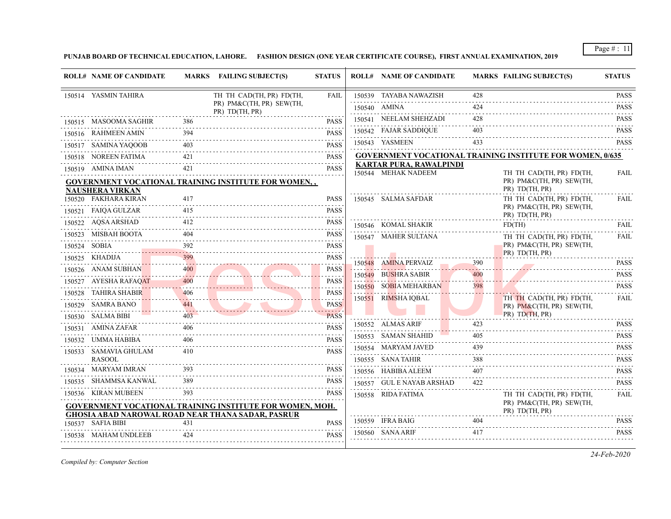**PUNJAB BOARD OF TECHNICAL EDUCATION, LAHORE. FASHION DESIGN (ONE YEAR CERTIFICATE COURSE), FIRST ANNUAL EXAMINATION, 2019**

|        | <b>ROLL# NAME OF CANDIDATE</b>         |     | MARKS FAILING SUBJECT(S)                                                                                             | <b>STATUS</b>                 | <b>ROLL# NAME OF CANDIDATE</b>                   |                    | <b>MARKS FAILING SUBJECT(S)</b>                                        | <b>STATUS</b>              |
|--------|----------------------------------------|-----|----------------------------------------------------------------------------------------------------------------------|-------------------------------|--------------------------------------------------|--------------------|------------------------------------------------------------------------|----------------------------|
|        | 150514 YASMIN TAHIRA                   |     | TH TH CAD(TH, PR) FD(TH,                                                                                             | FAIL                          | 150539 TAYABA NAWAZISH                           | 428                |                                                                        | <b>PASS</b>                |
|        |                                        |     | PR) PM&C(TH, PR) SEW(TH,<br>PR) TD(TH, PR)                                                                           |                               | 150540 AMINA                                     | 424                |                                                                        | <b>PASS</b>                |
|        | 150515 MASOOMA SAGHIR                  | 386 |                                                                                                                      | <b>PASS</b>                   | 150541 NEELAM SHEHZADI                           | 428                |                                                                        | .<br><b>PASS</b>           |
|        | 150516 RAHMEEN AMIN                    | 394 |                                                                                                                      | <b>PASS</b>                   | 150542 FAJAR SADDIQUE                            | 403                |                                                                        | <b>PASS</b>                |
|        | 150517 SAMINA YAQOOB                   | 403 |                                                                                                                      | <b>PASS</b>                   | 150543 YASMEEN                                   | 433                |                                                                        | <b>PASS</b>                |
|        | 150518 NOREEN FATIMA                   | 421 |                                                                                                                      | .<br><b>PASS</b>              |                                                  |                    | <b>GOVERNMENT VOCATIONAL TRAINING INSTITUTE FOR WOMEN, 0/635</b>       |                            |
|        | 150519 AMINA IMAN                      | 421 |                                                                                                                      | .<br><b>PASS</b>              | <b>KARTAR PURA, RAWALPINDI</b>                   |                    |                                                                        |                            |
|        | <b>NAUSHERA VIRKAN</b>                 |     | <b>GOVERNMENT VOCATIONAL TRAINING INSTITUTE FOR WOMEN</b>                                                            |                               | 150544 MEHAK NADEEM                              |                    | TH TH CAD(TH, PR) FD(TH,<br>PR) PM&C(TH, PR) SEW(TH,<br>PR) TD(TH, PR) | FAIL<br>$- - - - - -$      |
|        | 150520 FAKHARA KIRAN                   | 417 |                                                                                                                      | <b>PASS</b><br>$- - - - - -$  | 150545 SALMA SAFDAR                              |                    | TH TH CAD(TH, PR) FD(TH,                                               | FAIL                       |
|        | 150521 FAIQA GULZAR                    | 415 |                                                                                                                      | <b>PASS</b>                   |                                                  |                    | PR) PM&C(TH, PR) SEW(TH,<br>PR) TD(TH, PR)                             |                            |
| 150522 | AOSA ARSHAD                            | 412 |                                                                                                                      | <b>PASS</b>                   | 150546 KOMAL SHAKIR                              |                    | FD(TH)                                                                 | FAIL                       |
| 150523 | MISBAH BOOTA                           | 404 |                                                                                                                      | <b>PASS</b><br>.              | 150547 MAHER SULTANA                             |                    | TH TH CAD(TH, PR) FD(TH,                                               | FAIL                       |
|        | 150524 SOBIA                           | 392 |                                                                                                                      | <b>PASS</b><br>.              |                                                  |                    | PR) PM&C(TH, PR) SEW(TH,                                               |                            |
| 150525 | <b>KHADIJA</b>                         | 399 |                                                                                                                      | <b>PASS</b><br>.              | 150548 AMINA PERVAIZ                             | 390                | PR) TD(TH, PR)                                                         | <b>PASS</b>                |
|        | 150526 ANAM SUBHAN                     |     |                                                                                                                      | <b>PASS</b>                   | 150549 BUSHRA SABIR                              | 400                |                                                                        | <b>PASS</b>                |
|        | 150527 AYESHA RAFAQAT                  | 400 |                                                                                                                      | <b>PASS</b><br>.              | 150550 SOBIA MEHARBAN                            | 398                |                                                                        | <b>PASS</b>                |
| 150528 | <b>TAHIRA SHABIR</b>                   | 406 |                                                                                                                      | <b>PASS</b><br>.              | 150551 RIMSHA IQBAL                              |                    | TH TH CAD(TH, PR) FD(TH,                                               | .<br>FAIL                  |
|        | 150529 SAMRA BANO                      | 441 |                                                                                                                      | <b>PASS</b><br><b>Service</b> |                                                  |                    | PR) PM&C(TH, PR) SEW(TH,                                               |                            |
|        | 150530 SALMA BIBI                      | 403 |                                                                                                                      | <b>PASS</b>                   |                                                  |                    | PR) TD(TH, PR)                                                         |                            |
|        | 150531 AMINA ZAFAR                     | 406 |                                                                                                                      | <b>PASS</b>                   | 150552 ALMAS ARIF                                | 423                |                                                                        | <b>PASS</b>                |
|        | 150532 UMMA HABIBA                     | 406 |                                                                                                                      | <b>PASS</b><br><u>.</u>       | 150553 SAMAN SHAHID<br>150554 MARYAM JAVED       | 405<br>439         |                                                                        | <b>PASS</b><br><b>PASS</b> |
|        | 150533 SAMAVIA GHULAM<br><b>RASOOL</b> | 410 |                                                                                                                      | <b>PASS</b>                   | 150555 SANA TAHIR                                | 388                |                                                                        | .<br><b>PASS</b>           |
|        | 150534 MARYAM IMRAN                    |     |                                                                                                                      | <b>PASS</b>                   |                                                  | and a state<br>407 |                                                                        | .<br><b>PASS</b>           |
| 150535 | SHAMMSA KANWAL                         | 389 |                                                                                                                      | <b>PASS</b>                   | 150556 HABIBA ALEEM<br>150557 GUL E NAYAB ARSHAD | 422                |                                                                        | <b>PASS</b>                |
|        | 150536 KIRAN MUBEEN                    | 393 |                                                                                                                      | <b>PASS</b>                   | 150558 RIDA FATIMA                               |                    | TH TH CAD(TH, PR) FD(TH,                                               | <b>FAIL</b>                |
|        |                                        |     | GOVERNMENT VOCATIONAL TRAINING INSTITUTE FOR WOMEN, MOH.<br><b>GHOSIA ABAD NAROWAL ROAD NEAR THANA SADAR, PASRUR</b> |                               |                                                  |                    | PR) PM&C(TH, PR) SEW(TH,<br>PR) TD(TH, PR)                             |                            |
|        | 150537 SAFIA BIBI                      | 431 |                                                                                                                      | <b>PASS</b>                   | 150559 IFRA BAIG                                 | 404                |                                                                        | <b>PASS</b><br>.           |
|        | 150538 MAHAM UNDLEEB                   | 424 |                                                                                                                      | <b>PASS</b>                   | 150560 SANA ARIF                                 | 417                |                                                                        | <b>PASS</b>                |

*Compiled by: Computer Section*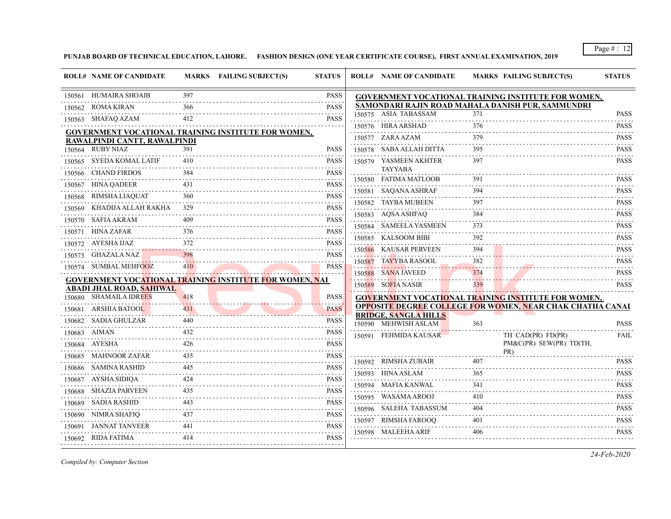**PUNJAB BOARD OF TECHNICAL EDUCATION, LAHORE. FASHION DESIGN (ONE YEAR CERTIFICATE COURSE), FIRST ANNUAL EXAMINATION, 2019**

|              | <b>ROLL# NAME OF CANDIDATE</b>                            |     | MARKS FAILING SUBJECT(S)                                   | <b>STATUS</b>                                                                                                                                                                                  | <b>ROLL# NAME OF CANDIDATE</b>                      |                   | <b>MARKS FAILING SUBJECT(S)</b>                                  | <b>STATUS</b>                                                                                                                                       |
|--------------|-----------------------------------------------------------|-----|------------------------------------------------------------|------------------------------------------------------------------------------------------------------------------------------------------------------------------------------------------------|-----------------------------------------------------|-------------------|------------------------------------------------------------------|-----------------------------------------------------------------------------------------------------------------------------------------------------|
|              | 150561 HUMAIRA SHOAIB                                     | 397 |                                                            | <b>PASS</b>                                                                                                                                                                                    |                                                     |                   | GOVERNMENT VOCATIONAL TRAINING INSTITUTE FOR WOMEN,              |                                                                                                                                                     |
| 150562       | ROMA KIRAN                                                | 366 |                                                            | <b>PASS</b><br>$\frac{1}{2} \left( \frac{1}{2} \right) \left( \frac{1}{2} \right) \left( \frac{1}{2} \right) \left( \frac{1}{2} \right) \left( \frac{1}{2} \right) \left( \frac{1}{2} \right)$ |                                                     |                   | SAMONDARI RAJIN ROAD MAHALA DANISH PUR, SAMMUNDRI                |                                                                                                                                                     |
|              | 150563 SHAFAQ AZAM                                        | 412 |                                                            | <b>PASS</b>                                                                                                                                                                                    | 150575 ASIA TABASSAM                                | 371<br>376        |                                                                  | <b>PASS</b>                                                                                                                                         |
|              |                                                           |     | <b>GOVERNMENT VOCATIONAL TRAINING INSTITUTE FOR WOMEN,</b> |                                                                                                                                                                                                | 150576 HIRA ARSHAD                                  |                   |                                                                  | <b>PASS</b><br>.                                                                                                                                    |
|              | RAWALPINDI CANTT, RAWALPINDI                              |     |                                                            |                                                                                                                                                                                                | 150577 ZARA AZAM                                    | 379               |                                                                  | <b>PASS</b><br>$-1 - 1 - 1 - 1$                                                                                                                     |
|              | 150564 RUBY NIAZ                                          | 391 |                                                            | <b>PASS</b>                                                                                                                                                                                    | 150578 SABA ALLAH DITTA                             | 395               |                                                                  | <b>PASS</b>                                                                                                                                         |
|              | 150565 SYEDA KOMAL LATIF                                  | 410 |                                                            | <b>PASS</b>                                                                                                                                                                                    | 150579 YASMEEN AKHTER<br><b>TAYYABA</b>             | 397               |                                                                  | <b>PASS</b>                                                                                                                                         |
|              | 150566 CHAND FIRDOS                                       | 384 |                                                            | <b>PASS</b>                                                                                                                                                                                    | 150580 FATIMA MATLOOB                               | 391               |                                                                  | <b>PASS</b>                                                                                                                                         |
|              | 150567 HINA QADEER                                        | 431 |                                                            | PASS<br>.                                                                                                                                                                                      | 150581 SAOANA ASHRAF                                | 394               |                                                                  | <b>PASS</b>                                                                                                                                         |
| 150568       | RIMSHA LIAQUAT                                            | 360 |                                                            | <b>PASS</b>                                                                                                                                                                                    | 150582 TAYBA MUBEEN                                 | 397               |                                                                  | <b>PASS</b>                                                                                                                                         |
| 150569       | KHADIJA ALLAH RAKHA                                       | 329 |                                                            | PASS                                                                                                                                                                                           | 150583 AQSA ASHFAQ                                  | 384               |                                                                  | <b>PASS</b>                                                                                                                                         |
| 150570       | SAFIA AKRAM                                               | 409 |                                                            | PASS<br>.                                                                                                                                                                                      | 150584 SAMEELA YASMEEN                              | 373               |                                                                  | <b>PASS</b>                                                                                                                                         |
| 150571       | <b>HINA ZAFAR</b>                                         | 376 |                                                            | <b>PASS</b><br>$\alpha$ , $\alpha$ , $\alpha$ , $\alpha$ , $\alpha$                                                                                                                            | 150585 KALSOOM BIBI                                 | 392               |                                                                  | <b>PASS</b>                                                                                                                                         |
|              | 150572 AYESHA IJAZ                                        | 372 |                                                            | PASS                                                                                                                                                                                           | 150586 KAUSAR PERVEEN                               | 394               |                                                                  | .<br><b>PASS</b>                                                                                                                                    |
|              | 150573 GHAZALA NAZ                                        | 398 |                                                            | PASS                                                                                                                                                                                           | 150587 TAYYBA RASOOL                                | 382               |                                                                  | $\mathcal{L}^{\mathcal{A}}\left( \mathcal{A}^{\mathcal{A}}\right) =\mathcal{L}^{\mathcal{A}}\left( \mathcal{A}^{\mathcal{A}}\right)$<br><b>PASS</b> |
|              | 150574 SUMBAL MEHFOOZ                                     | 410 |                                                            | <b>PASS</b>                                                                                                                                                                                    | 150588 SANA JAVEED                                  | 374               |                                                                  | <b>PASS</b>                                                                                                                                         |
|              |                                                           |     | GOVERNMENT VOCATIONAL TRAINING INSTITUTE FOR WOMEN, NAI    |                                                                                                                                                                                                | 150589 SOFIA NASIR                                  | . <b>.</b><br>339 |                                                                  | .<br><b>PASS</b>                                                                                                                                    |
|              | <b>ABADI JHAL ROAD, SAHIWAL</b><br>150680 SHAMAILA IDREES | 418 |                                                            | <b>PASS</b>                                                                                                                                                                                    |                                                     |                   | <b>GOVERNMENT VOCATIONAL TRAINING INSTITUTE FOR WOMEN,</b>       |                                                                                                                                                     |
|              | 150681 ARSHIA BATOOL                                      | 431 |                                                            | <b>PASS</b>                                                                                                                                                                                    |                                                     |                   | <b>OPPOSITE DEGREE COLLEGE FOR WOMEN, NEAR CHAK CHATHA CANAL</b> |                                                                                                                                                     |
| 150682       | SADIA GHULZAR                                             | 440 |                                                            | .<br><b>PASS</b>                                                                                                                                                                               | <b>BRIDGE, SANGLA HILLS</b><br>150590 MEHWISH ASLAM | 363               |                                                                  | <b>PASS</b>                                                                                                                                         |
| 150683 AIMAN |                                                           | 432 |                                                            | <b>PASS</b>                                                                                                                                                                                    | 150591 FEHMIDA KAUSAR                               |                   |                                                                  | FAIL                                                                                                                                                |
| 150684       | AYESHA                                                    | 426 |                                                            | <b>PASS</b>                                                                                                                                                                                    |                                                     |                   | TH CAD(PR) FD(PR)<br>PM&C(PR) SEW(PR) TD(TH,                     |                                                                                                                                                     |
| 150685       | MAHNOOR ZAFAR                                             | 435 |                                                            | <b>PASS</b>                                                                                                                                                                                    |                                                     |                   | PR)                                                              |                                                                                                                                                     |
|              | 150686 SAMINA RASHID                                      | 445 |                                                            | PASS                                                                                                                                                                                           | 150592 RIMSHA ZUBAIR                                | 407               |                                                                  | <b>PASS</b>                                                                                                                                         |
| 150687       | AYSHA SIDIQA                                              | 424 |                                                            | .<br><b>PASS</b>                                                                                                                                                                               | 150593 HINA ASLAM                                   | 365               |                                                                  | <b>PASS</b>                                                                                                                                         |
| 150688       | SHAZIA PARVEEN                                            | 435 |                                                            | <b><i><u>Property</u></i></b><br>PASS                                                                                                                                                          | 150594 MAFIA KANWAL                                 | 341               |                                                                  | <b>PASS</b><br>.                                                                                                                                    |
|              | 150689 SADIA RASHID                                       | 443 |                                                            | PASS                                                                                                                                                                                           | 150595 WASAMA AROOJ                                 | 410               |                                                                  | <b>PASS</b>                                                                                                                                         |
| 150690       | NIMRA SHAFIO                                              | 437 |                                                            | .<br>PASS                                                                                                                                                                                      | 150596 SALEHA TABASSUM                              | 404               |                                                                  | <b>PASS</b>                                                                                                                                         |
|              | 150691 JANNAT TANVEER                                     | 441 |                                                            | .<br><b>PASS</b>                                                                                                                                                                               | 150597 RIMSHA FAROOQ                                | 401               |                                                                  | <b>PASS</b><br>.                                                                                                                                    |
|              | 150692 RIDA FATIMA                                        | 414 |                                                            | PASS                                                                                                                                                                                           | 150598 MALEEHA ARIF                                 | 406               |                                                                  | <b>PASS</b>                                                                                                                                         |
|              |                                                           |     |                                                            |                                                                                                                                                                                                |                                                     |                   |                                                                  |                                                                                                                                                     |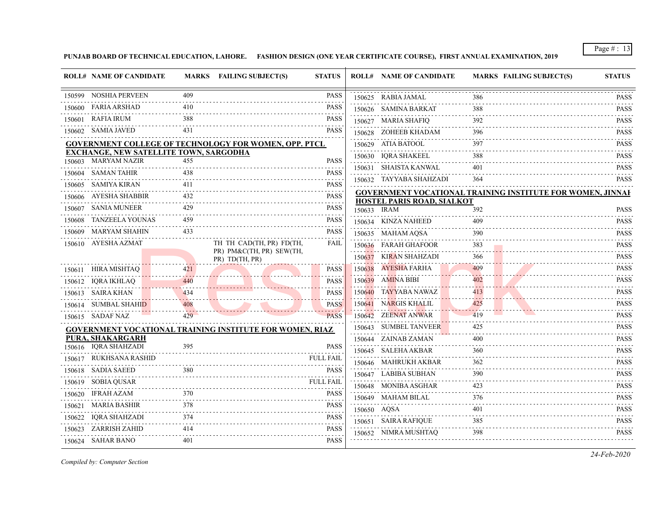**PUNJAB BOARD OF TECHNICAL EDUCATION, LAHORE. FASHION DESIGN (ONE YEAR CERTIFICATE COURSE), FIRST ANNUAL EXAMINATION, 2019**

|        | <b>ROLL# NAME OF CANDIDATE</b>                |         | MARKS FAILING SUBJECT(S)<br><b>STATUS</b>                       |   | <b>ROLL# NAME OF CANDIDATE</b> | <b>MARKS FAILING SUBJECT(S)</b>                                   | <b>STATUS</b>                 |
|--------|-----------------------------------------------|---------|-----------------------------------------------------------------|---|--------------------------------|-------------------------------------------------------------------|-------------------------------|
|        | 150599 NOSHIA PERVEEN                         | 409     | <b>PASS</b>                                                     |   | 150625 RABIA JAMAL             | 386                                                               | <b>PASS</b>                   |
|        | 150600 FARIA ARSHAD                           | 410     | <b>PASS</b>                                                     |   | 150626 SAMINA BARKAT           | 388                                                               | .<br><b>PASS</b>              |
|        | 150601 RAFIA IRUM                             | 388     | <b>PASS</b>                                                     |   | 150627 MARIA SHAFIQ            | 392                                                               | <b>PASS</b>                   |
|        | 150602 SAMIA JAVED                            | 431     | <b>PASS</b>                                                     |   | 150628 ZOHEEB KHADAM           | 396                                                               | <b>PASS</b>                   |
|        |                                               |         | <b>GOVERNMENT COLLEGE OF TECHNOLOGY FOR WOMEN, OPP. PTCL</b>    |   | 150629 ATIA BATOOL             | 397                                                               | <b>PASS</b>                   |
|        | <b>EXCHANGE, NEW SATELLITE TOWN, SARGODHA</b> |         |                                                                 |   | 150630 IQRA SHAKEEL            | 388                                                               | .<br><b>PASS</b>              |
|        | 150603 MARYAM NAZIR                           | 455     | <b>PASS</b>                                                     | . | 150631 SHAISTA KANWAL          | 401                                                               | .<br><b>PASS</b>              |
|        | 150604 SAMAN TAHIR                            | 438     | <b>PASS</b>                                                     |   | 150632 TAYYABA SHAHZADI        | 364                                                               | . . <b>.</b> .<br><b>PASS</b> |
|        | 150605 SAMIYA KIRAN                           | 411     | <b>PASS</b>                                                     |   |                                | <b>GOVERNMENT VOCATIONAL TRAINING INSTITUTE FOR WOMEN, JINNAH</b> |                               |
|        | 150606 AYESHA SHABBIR                         | 432     | <b>PASS</b>                                                     |   | HOSTEL PARIS ROAD, SIALKOT     |                                                                   |                               |
|        | 150607 SANIA MUNEER                           | 429     | <b>PASS</b>                                                     |   | 150633 IRAM                    | 392                                                               | <b>PASS</b><br><u>.</u>       |
| 150608 | TANZEELA YOUNAS                               | 459     | <b>PASS</b>                                                     |   | 150634 KINZA NAHEED            | 409                                                               | <b>PASS</b>                   |
|        | 150609 MARYAM SHAHIN                          | 433     | <b>PASS</b>                                                     |   | 150635 MAHAM AQSA              | 390                                                               | <b>PASS</b>                   |
|        | 150610 AYESHA AZMAT                           |         | TH TH CAD(TH, PR) FD(TH,<br><b>FAIL</b>                         |   | 150636 FARAH GHAFOOR           | 383                                                               | <b>PASS</b>                   |
|        |                                               |         | PR) PM&C(TH, PR) SEW(TH,<br>PR) TD(TH, PR)                      |   | 150637 KIRAN SHAHZADI          | 366                                                               | <b>PASS</b>                   |
|        | 150611 HIRA MISHTAQ                           | 421     | <b>PASS</b>                                                     |   | 150638 AYESHA FARHA            | 409                                                               | .<br><b>PASS</b>              |
|        | 150612 IQRA IKHLAQ                            | 440     | <b>PASS</b>                                                     |   | 150639 AMINA BIBI              | 402                                                               | <b>PASS</b>                   |
|        | 150613 SAIRA KHAN                             | 434     | <b>PASS</b>                                                     |   | 150640 TAYYABA NAWAZ           | 413                                                               | <b>PASS</b>                   |
|        | 150614 SUMBAL SHAHID                          | 408     | <b>PASS</b>                                                     |   | 150641 NARGIS KHALIL           | 425                                                               | <b>PASS</b>                   |
|        | 150615 SADAF NAZ                              | $429 -$ | <b>PASS</b>                                                     |   | 150642 ZEENAT ANWAR            | 419                                                               | <b>PASS</b>                   |
|        |                                               |         | <b>GOVERNMENT VOCATIONAL TRAINING INSTITUTE FOR WOMEN, RIAZ</b> |   | 150643 SUMBEL TANVEER          | 425                                                               | <b>PASS</b><br><u>.</u>       |
|        | PURA, SHAKARGARH                              |         |                                                                 |   | 150644 ZAINAB ZAMAN            | 400                                                               | <b>PASS</b>                   |
|        | 150616 IQRA SHAHZADI                          | 395     | <b>PASS</b>                                                     |   | 150645 SALEHA AKBAR            | 360                                                               | <b>PASS</b>                   |
|        | 150617 RUKHSANA RASHID                        |         | <b>FULL FAIL</b>                                                |   | 150646 MAHRUKH AKBAR           | 362                                                               | <b>PASS</b>                   |
|        | 150618 SADIA SAEED                            | 380     | <b>PASS</b>                                                     |   | 150647 LABIBA SUBHAN           | 390                                                               | .<br><b>PASS</b>              |
|        | 150619 SOBIA QUSAR                            |         | FULL FAIL                                                       |   | 150648 MONIBA ASGHAR           | 423                                                               | .<br><b>PASS</b>              |
|        | 150620 IFRAH AZAM                             | 370     | <b>PASS</b>                                                     |   | 150649 MAHAM BILAL             | 376                                                               | <b>PASS</b>                   |
|        | 150621 MARIA BASHIR                           | 378     | <b>PASS</b>                                                     |   | 150650 AQSA                    | 401                                                               | <b>PASS</b>                   |
| 150622 | IORA SHAHZADI                                 | 374     | <b>PASS</b>                                                     |   | 150651 SAIRA RAFIQUE           | 385                                                               | .<br><b>PASS</b>              |
|        | 150623 ZARRISH ZAHID                          | 414     | <b>PASS</b>                                                     |   | 150652 NIMRA MUSHTAO           | 398                                                               | .<br><b>PASS</b>              |
|        | 150624 SAHAR BANO                             | 401     | <b>PASS</b>                                                     |   |                                |                                                                   |                               |

*Compiled by: Computer Section*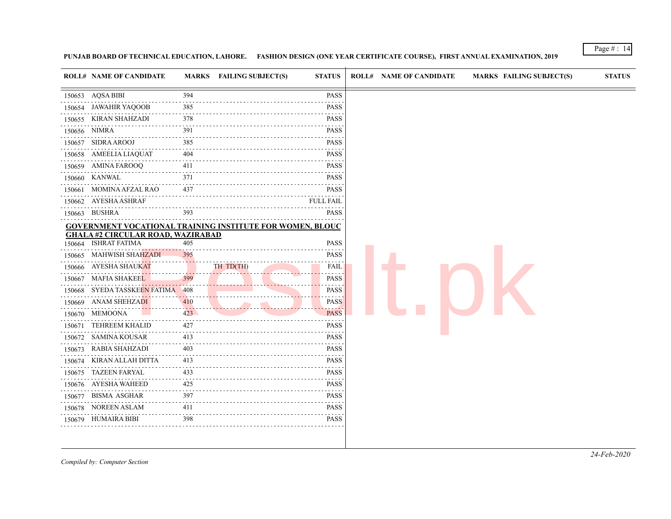## **PUNJAB BOARD OF TECHNICAL EDUCATION, LAHORE. FASHION DESIGN (ONE YEAR CERTIFICATE COURSE), FIRST ANNUAL EXAMINATION, 2019**

|             | ATUS   ROLL# NAME OF CANDIDATE | <b>MARKS FAILING SUBJECT(S</b> |
|-------------|--------------------------------|--------------------------------|
| <b>PASS</b> |                                |                                |

Page # : 14

|   | <b>ROLL# NAME OF CANDIDATE</b>                                   |               | <b>MARKS</b> FAILING SUBJECT(S) | <b>STATUS</b>                                                      | <b>ROLL# NAME OF CANDIDATE</b> | <b>MARKS FAILING SUBJECT(S)</b> | <b>STATUS</b> |
|---|------------------------------------------------------------------|---------------|---------------------------------|--------------------------------------------------------------------|--------------------------------|---------------------------------|---------------|
|   | 150653 AQSA BIBI                                                 | 394           |                                 | PASS                                                               |                                |                                 |               |
|   | 150654 JAWAHIR YAQOOB                                            | .<br>385      |                                 | PASS                                                               |                                |                                 |               |
|   | 150655 KIRAN SHAHZADI                                            | 378           |                                 | <b>PASS</b>                                                        |                                |                                 |               |
|   | 150656 NIMRA                                                     | 391           |                                 | .<br><b>PASS</b>                                                   |                                |                                 |               |
| . | 150657 SIDRA AROOJ                                               | $   -$<br>385 |                                 | .<br>PASS                                                          |                                |                                 |               |
|   | 150658 AMEELIA LIAQUAT                                           | 404           |                                 | <b>PASS</b>                                                        |                                |                                 |               |
|   | 150659 AMINA FAROOQ                                              | 411           |                                 | <b>PASS</b>                                                        |                                |                                 |               |
|   | 150660 KANWAL                                                    | 371           |                                 | <b>PASS</b>                                                        |                                |                                 |               |
|   | 150661 MOMINA AFZAL RAO                                          | .<br>437      |                                 | .<br><b>PASS</b>                                                   |                                |                                 |               |
|   | 150662 AYESHA ASHRAF                                             |               |                                 | .<br><b>FULL FAIL</b>                                              |                                |                                 |               |
|   | 150663 BUSHRA                                                    | 393           |                                 | <b>PASS</b>                                                        |                                |                                 |               |
|   | <b>GOVERNMENT VOCATIONAL TRAINING INSTITUTE FOR WOMEN, BLOUC</b> |               |                                 |                                                                    |                                |                                 |               |
|   | <b>GHALA #2 CIRCULAR ROAD, WAZIRABAD</b>                         |               |                                 |                                                                    |                                |                                 |               |
|   | 150664 ISHRAT FATIMA                                             | 405           |                                 | <b>PASS</b>                                                        |                                |                                 |               |
|   | 150665 MAHWISH SHAHZADI                                          | 395           |                                 | <b>PASS</b>                                                        |                                |                                 |               |
|   | 150666 AYESHA SHAUKAT                                            |               | TH TD(TH)                       | FAIL<br>.                                                          |                                |                                 |               |
| . | 150667 MAFIA SHAKEEL                                             | 399           |                                 | PASS<br>$\omega_{\rm c}$ and $\omega_{\rm c}$ and $\omega_{\rm c}$ |                                |                                 |               |
|   | 150668 SYEDA TASSKEEN FATIMA 408                                 |               |                                 | <b>PASS</b>                                                        |                                |                                 |               |
|   |                                                                  |               |                                 | <b>PASS</b>                                                        |                                |                                 |               |
|   | 150669 ANAM SHEHZADI                                             | 410           |                                 |                                                                    |                                |                                 |               |
|   | 150670 MEMOONA                                                   | 423           |                                 | <b>PASS</b>                                                        |                                |                                 |               |
|   | 150671 TEHREEM KHALID                                            | 427           |                                 | <b>PASS</b><br>.                                                   |                                |                                 |               |
|   | 150672 SAMINA KOUSAR                                             | 413           |                                 | <b>PASS</b>                                                        |                                |                                 |               |
|   | 150673 RABIA SHAHZADI                                            | 403           |                                 | <b>PASS</b>                                                        |                                |                                 |               |
|   | 150674 KIRAN ALLAH DITTA                                         | 413           |                                 | <b>PASS</b>                                                        |                                |                                 |               |
|   | 150675 TAZEEN FARYAL                                             | 433           |                                 | <b>PASS</b><br>$\sim$ $\sim$ $\sim$ $\sim$                         |                                |                                 |               |
|   | 150676 AYESHA WAHEED                                             | 425           |                                 | <b>PASS</b><br>.                                                   |                                |                                 |               |
|   | 150677 BISMA ASGHAR                                              | 397           |                                 | <b>PASS</b><br>$\omega$ is a set of                                |                                |                                 |               |
|   | 150678 NOREEN ASLAM<br>150679 HUMAIRA BIBI                       | 411<br>398    |                                 | <b>PASS</b><br><b>PASS</b>                                         |                                |                                 |               |